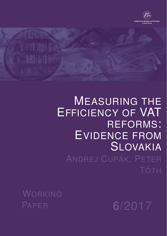

# MEASURING THE EFFICIENCY OF VAT REFORMS: EVIDENCE FROM SLOVAKIA ANDREJ CUPÁK, PETER

WORKING PAPER **6**/2017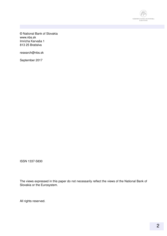

© National Bank of Slovakia www.nbs.sk Imricha Karvaša 1 813 25 Bratislva

research@nbs.sk

September 2017

ISSN 1337-5830

The views expressed in this paper do not necessarily reflect the views of the National Bank of Slovakia or the Eurosystem.

All rights reserved.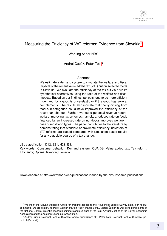

#### Measuring the Efficiency of VAT reforms: Evidence from Slovakia<sup>[1](#page-2-0)</sup>

Working paper NBS

Andrej Cupák, Peter Tóth<sup>[2](#page-2-1)</sup>

#### Abstract

We estimate a demand system to simulate the welfare and fiscal impacts of the recent value added tax (VAT) cut on selected foods in Slovakia. We evaluate the efficiency of the tax cut vis-à-vis its hypothetical alternatives using the ratio of the welfare and fiscal impacts. Based on our findings, tax cuts tend to be more efficient if demand for a good is price-elastic or if the good has several complements. The results also indicate that cherry-picking from food sub-categories could have improved the efficiency of the recent tax change. Further, we found potential revenue-neutral welfare-improving tax schemes, namely, a reduced rate on foods financed by an increased rate on non-foods improves welfare in case of most food types. The paper contributes to the literature by demonstrating that standard approximate efficiency indicators of VAT reforms are biased compared with simulation-based results for any plausible degree of a tax change.

JEL classification: D12; E21; H21; I31.

Key words: Consumer behavior; Demand system; QUAIDS; Value added tax; Tax reform; Efficiency; Optimal taxation; Slovakia.

Downloadable at http://www.nbs.sk/en/publications-issued-by-the-nbs/research-publications

<span id="page-2-0"></span><sup>&</sup>lt;sup>1</sup>We thank the Slovak Statistical Office for granting access to the Household Budget Survey data. For helpful comments, we are grateful to Pavel Gertler, Marian Rizov, Matúš Senaj, Martin Šuster as well as to participants at the National Bank of Slovakia research seminars and audience at the Joint Annual Meeting of the Slovak Economic Association and the Austrian Economic Association.

<span id="page-2-1"></span><sup>&</sup>lt;sup>2</sup> Andrej Cupák, National Bank of Slovakia (andrej.cupak@nbs.sk); Peter Tóth, National Bank of Slovakia (peter.toth@nbs.sk).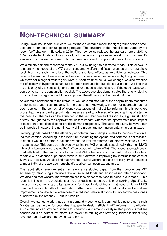### **NON-TECHNICAL SUMMARY**

Using Slovak household-level data, we estimate a demand model for eight groups of food products and a non-food consumption aggregate. The structure of the model is motivated by the recent VAT change in Slovakia in 2016. This new policy reduced the standard rate of 20% to 10% for selected foods, including bread, milk, butter and unprocessed meat. The government's aim was to subsidize the consumption of basic foods and to support domestic food production.

We simulate demand responses to the VAT cut by using the estimated model. This allows us to quantify the impact of the VAT cut on consumer welfare and fiscal revenues at the household level. Next, we apply the ratio of the welfare and fiscal effects as an efficiency indicator. This reflects the amount of welfare gained for a unit of fiscal revenues sacrificed by the government, which we call marginal welfare gain (MWG). Apart from the actual VAT change, we also examine the efficiency of hypothetical tax cuts for each consumption bundle in our model. We find that the efficiency of a tax cut is higher if demand for a good is price-elastic or if the good has several complements in the consumption basket. The above exercise demonstrates that cherry-picking from food sub-categories could have improved the efficiency of the Slovak VAT cut.

As our main contribution to the literature, we use simulated rather than approximate measures of the welfare and fiscal impacts. To the best of our knowledge, the former approach has not been applied in the context of efficiency evaluations of indirect tax reforms. In this work, we prove that the standard approximate measures lead to a biased efficiency ranking of alternative policies. The bias can be attributed to the fact that demand responses, e.g. substitution effects, are ignored by the approximate welfare impact, whereas the approximate fiscal impact is based on price elasticities to predict demand responses. The latter measure, however, can be imprecise in case of the non-linearity of the model and non-incremental changes in taxes.

Ranking goods based on the efficiency of potential tax changes relates to theories of optimal indirect taxation. According to the literature, estimating the optimal VAT scheme is not feasible. Instead, it would be better to look for revenue-neutral tax reforms that improve welfare vis-a-vis ` the status quo. This could be achieved by cutting the VAT on goods associated with a high MWG while simultaneously increasing the VAT on goods with a low MWG. The above approach could gradually lead to the realization of an optimal VAT scheme at no fiscal costs. We contribute to this field with evidence of potential revenue-neutral welfare-improving tax reforms in the case of Slovakia. However, we also find that revenue-neutral welfare impacts are fairly small, reaching at most 1.5% of the average household's total consumption expenditures.

The hypothetical revenue-neutral tax reforms we studied depart from the homogenous VAT scheme by introducing a reduced rate on selected foods and an increased rate on non-food. We also find that welfare improvements are feasible for most food bundles in our model. This result is in line with the predictions of the previously constructed efficiency ranking. Specifically, welfare improvements are attainable only for those kinds of foods, that have a higher MWG than the financing bundle of non-foods. Furthermore, we also find that fiscally neutral welfare improvements can be achieved in case of a reduced rate on all foods, but not for the basic ones subsidized by the recent VAT cut in Slovakia.

Overall, we can conclude that using a demand model to rank commodities according to their MWGs can be helpful for countries that aim to design efficient VAT reforms. In particular, such a ranking can provide guidance for cherry-picking among closely related products that are considered in an indirect tax reform. Moreover, the ranking can provide guidance for identifying revenue-neutral welfare-improving tax reforms.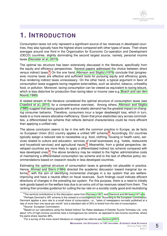# **1. INTRODUCTION**

Consumption taxes not only represent a significant source of tax revenues in developed countries, they also typically have the highest share compared with other types of taxes. Their share averages around one third in the Organization for Economic Co-operation and Development (OECD) countries, slightly dominating the second largest source, namely, personal income taxes [\(Decoster et al., 2010\)](#page-22-0).

The optimal tax structure has been extensively discussed in the literature, specifically from the equity and efficiency perspectives. Several papers addressed the choice between direct versus indirect taxes. $3$  On the one hand, [Atkinson and Stiglitz](#page-21-0) [\(1976\)](#page-21-0) conclude that (progressive) income taxes are effective and sufficient tools for pursuing equity and efficiency goals, thus rendering indirect taxes unnecessary. On the other hand, a typical argument in favor of consumption taxes suggests taxing negative externalities, such as alcohol, tobacco, unhealthy food, or pollution. Moreover, taxing consumption can be viewed as equivalent to taxing leisure, which is less distortive for production than taxing labor or income (see e.g. [Bosch and van den](#page-21-1) [Noord, 1990\)](#page-21-1).

A related stream of the literature considered the optimal structure of consumption taxes (see [Crawford et al., 2010,](#page-22-1) for a comprehensive overview). Among others, [Atkinson and Stiglitz](#page-21-2) [\(1980\)](#page-21-2) suggest that taxing goods with a price-elastic demand has the greatest impact on changing consumer behavior. Therefore, consumers incur a larger deadweight loss, which in turn, leads to a more severe allocative inefficiency. Given that price elasticities vary across commodities, a differentiated tax scheme that reflects demand characteristics could be more efficient than applying a unified rate.

The above conclusion seems to be in line with the common practice in Europe, as de facto no European Union (EU) country applies a unified VAT scheme.<sup>[4](#page-4-1)</sup> Accordingly, EU countries typically assign a reduced rate to necessities (e.g. food, clothing, housing or health care), services related to culture and education, services of small businesses (e.g. hotels, restaurants and household services) and agricultural inputs.<sup>[5](#page-4-2)</sup> Meanwhile, from a global perspective, developed countries are more likely to apply a differentiated indirect tax scheme compared with less developed ones. $6$  The above tendency may be related to the higher administrative costs of maintaining a differentiated consumption tax scheme and to the lack of effective policy recommendations based on research results in less developed countries.

Estimating the optimal structure of consumption taxes is generally not plausible in practice. Hence, [Ahmad and Stern](#page-21-3) [\(1984\)](#page-21-3) directed the academic discussion toward marginal tax reforms, $<sup>7</sup>$  $<sup>7</sup>$  $<sup>7</sup>$  with the aim of identifying incremental changes in a tax system that are welfare-</sup> improving and have a neutral effect on fiscal revenues. Such findings could indicate efficient directions of changes in the prevailing tax system. For this purpose, there is a need to initially rank goods based on the welfare loss due to an extra unit of tax revenues raised from them. The ranking then provides guidance for cutting the tax rate on a socially costly good and neutralizing

<span id="page-4-1"></span><span id="page-4-0"></span><sup>&</sup>lt;sup>3</sup>The seminal contributions to this discussion came from [Ramsey](#page-23-0) [\(1927\)](#page-23-0) and [Diamond and Mirrlees](#page-22-2) [\(1971a](#page-22-2)[,b\)](#page-22-3).

<sup>4</sup>Perhaps Denmark's VAT scheme is the closest to a homogenous one. According to the European Commission, Denmark applies a zero rate to a small share of consumption, i.e., "sales of newspapers normally published at a rate of more than one issue per month" and a standard rate of 25% is levied from the rest of consumption.

<span id="page-4-3"></span><span id="page-4-2"></span><sup>5</sup>Source: European Commission.

<sup>&</sup>lt;sup>6</sup>Based on our calculations using the Global Indirect Tax Rates database of Deloitte Touche Tohmatsu Ltd., only about 12% of high-income countries have a homogenous tax scheme, as opposed to low-income countries, where the same share reaches 48%.

<span id="page-4-4"></span> $7$ For a survey of the more recent literature on marginal tax reforms see [Santoro](#page-23-1) [\(2007\)](#page-23-1).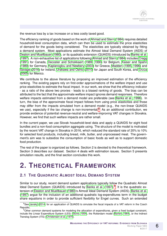the revenue loss by a tax increase on a less costly taxed good.

The efficiency ranking of goods based on the work of [Ahmad and Stern](#page-21-3) [\(1984\)](#page-21-3) requires detailed household-level consumption data, which can then be used to estimate the price elasticities of demand for the goods being considered. The elasticities are typically obtained by fitting a demand system. Most applications estimate the Almost Ideal Demand System (AIDS) of [Deaton and Muellbauer](#page-22-4) [\(1980\)](#page-22-4), or its quadratic extension (QUAIDS) introduced by [Banks et al.](#page-21-4) [\(1997\)](#page-21-4). A non-exhaustive list of applications following [Ahmad and Stern](#page-21-3) [\(1984\)](#page-21-3) includes [Cragg](#page-21-5) [\(1991\)](#page-21-5) for Canada, [Decoster and Schokkaert](#page-22-5) [\(1989,](#page-22-5) [1990\)](#page-22-6) for Belgium, [Kaiser and Spahn](#page-23-2) [\(1989\)](#page-23-2) for Germany, [Kaplanoglou and Newbery](#page-23-3) [\(2003\)](#page-23-3) for Greece, [Madden](#page-23-4) [\(1995,](#page-23-4) [1996\)](#page-23-5) and [Savage](#page-23-6) [\(2016\)](#page-23-6) for Ireland, [Urakawa and Oshio](#page-24-0) [\(2010\)](#page-24-0) for Japan and South Korea, and Urzúa [\(2005\)](#page-24-1) for Mexico.

We contribute to the above literature by proposing an improved estimation of the efficiency ranking. The existing papers rely on first-order approximations of the welfare impact and use price elasticities to estimate the fiscal impact. In our work, we show that the efficiency indicator - as a ratio of the above two proxies - leads to a biased ranking of goods. The bias can be attributed to the fact that the approximate welfare impact ignores demand responses. Therefore welfare impacts estimated from a demand model are preferable (see [Banks et al., 1996\)](#page-21-6). In turn, the bias of the approximate fiscal impact follows from using price elasticities and those may differ from the impacts simulated from a demand model (e.g., the non-linear QUAIDS we use), especially if the tax change is non-incremental. $8$  As an additional contribution, we provide evidence of potential revenue-neutral and welfare-improving VAT changes in Slovakia. However, we find that such welfare impacts are rather small.

In the current paper, we use Slovak household-level data and apply a QUAIDS for eight food bundles and a non-food consumption aggregate using. The structure of the model is motivated by the recent VAT change in Slovakia in 2016, which reduced the standard rate of 20% to 10% for selected food products, including bread, milk, butter, and unprocessed meat. The government's aim was to subsidize the consumption of basic foods as well as to support domestic food production.

The rest of the paper is organized as follows. Section 2 is devoted to the theoretical framework. Section 3 describes our dataset. Section 4 deals with estimation issues. Section 5 presents simulation results, and the final section concludes this work.

### **2. THEORETICAL FRAMEWORK**

#### **2.1 THE QUADRATIC ALMOST IDEAL DEMAND SYSTEM**

Similar to our study, recent demand system applications typically follow the Quadratic Almost Ideal Demand System (QUAIDS) introduced by [Banks et al.](#page-21-4) [\(1997\)](#page-21-4).<sup>[9](#page-5-1)</sup> It is the quadratic extension of [Deaton and Muellbauer](#page-22-4) [\(1980\)](#page-22-4)'s Almost Ideal Demand System (AIDS). [Banks et al.](#page-21-4) [\(1997\)](#page-21-4) argue for the inclusion of an additional quadratic log-expenditures term in the budget share equations in order to provide sufficient flexibility for Engel curves. Such an extended

<span id="page-5-0"></span><sup>&</sup>lt;sup>8</sup>See Janský [\(2014\)](#page-22-7) for an application of QUAIDS to simulate the fiscal impacts of a VAT reform in the Czech Republic.

<span id="page-5-1"></span><sup>9</sup>Other common demand systems for modeling the allocation of expenditures, given a fixed budget constraint, include the Linear Expenditure System (LES) [\(Stone, 1954\)](#page-24-2), the Rotterdam model [\(Barten, 1964\)](#page-21-7), or the Indirect Translog System (ITS) [\(Christensen et al., 1975\)](#page-21-8).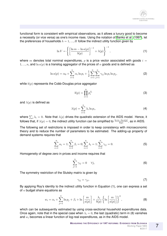functional form is consistent with empirical observations, as it allows a luxury good to become a necessity (or vice versa) as one's income rises. Using the notation of [Banks et al.](#page-21-4) [\(1997\)](#page-21-4), let the preferences of households  $h = 1, ..., H$  follow the indirect utility function given by

$$
\ln V = \left\{ \left[ \frac{\ln m - \ln a(p)}{b(p)} \right]^{-1} + \lambda(p) \right\}^{-1},\tag{1}
$$

where m denotes total nominal expenditures, p is a price vector associated with goods  $i =$  $1, ..., n$ , and  $\ln a(p)$  is a translog aggregator of the prices of n goods and is defined as

$$
\ln a(p) = \alpha_0 + \sum_{i=1}^n \alpha_i \ln p_i + \frac{1}{2} \sum_{i=1}^n \sum_{j=1}^n \gamma_{ij} \ln p_i \ln p_j, \tag{2}
$$

while  $b(p)$  represents the Cobb-Douglas price aggregator

$$
b(p) = \prod_{i=1}^{n} p_i^{\beta_i} \tag{3}
$$

and  $\lambda(p)$  is defined as

$$
\lambda(p) = \sum_{i=1}^{n} \lambda_i \ln p_i,
$$
\n(4)

where  $\sum_i \lambda_i = 0$ . Note that  $\lambda(p)$  drives the quadratic extension of the AIDS model. Hence, it follows that, if  $\lambda(p)=0,$  the indirect utility function can be simplified to  $\frac{\ln m-\ln a(p)}{b(p)}$ , as in AIDS.

The following set of restrictions is imposed in order to keep consistency with microeconomic theory and to reduce the number of parameters to be estimated. The adding-up property of demand systems requires that

$$
\sum_{i=1}^{n} \alpha_i = 1; \sum_{i=1}^{n} \beta_i = 0; \sum_{i=1}^{n} \lambda_i = 1; \sum_{i=1}^{n} \gamma_{ij} = 0.
$$
 (5)

Homogeneity of degree zero in prices and income requires that

$$
\sum_{j=1}^{n} \gamma_{ij} = 0 \quad \forall j,
$$
\n(6)

The symmetry restriction of the Slutsky matrix is given by

$$
\gamma_{ij} = \gamma_{ji}.\tag{7}
$$

By applying Roy's identity to the indirect utility function in Equation (1), one can express a set of  $n$  budget share equations as

$$
w_i = \alpha_i + \sum_{j=1}^n \ln p_j + \beta_i + \ln \left[ \frac{m}{a(p)} \right] + \frac{\lambda_i}{b(p)} \left\{ \ln \left[ \frac{m}{a(p)} \right] \right\}^2, \tag{8}
$$

which can be subsequently estimated by using cross-sectional household expenditures data. Once again, note that in the special case when  $\lambda_i = 0$ , the last (quadratic) term in (8) vanishes and  $w_i$  becomes a linear function of log-real expenditures, as in the AIDS model.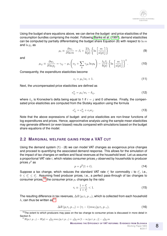Using the budget share equations above, we can derive the budget- and price elasticities of the consumption bundles comprising the model. Following [Banks et al.](#page-21-4) [\(1997\)](#page-21-4), demand elasticities can be computed by partially differentiating the budget share Equation (8) with respect to  $\ln m$ and  $\ln p_i$  as

$$
\mu_i \equiv \frac{\partial w_i}{\partial \ln m} = \beta_i + \frac{2\lambda_i}{b(p)} \left\{ \ln \left[ \frac{m}{a(p)} \right] \right\} \tag{9}
$$

and

$$
\mu_{ij} \equiv \frac{\partial w_i}{\partial \ln p_j} = \gamma_{ij} - \mu_i \left( \alpha_j + \sum_k \gamma_{jk} \ln p_k \right) - \frac{\lambda_i \beta_j}{b(p)} \left\{ \ln \left[ \frac{m}{a(p)} \right] \right\}^2.
$$
 (10)

Consequently, the expenditure elasticities become

$$
e_i = \mu_i/w_i + 1. \tag{11}
$$

Next, the uncompensated price elasticities are defined as

$$
e_{ij}^u = \mu_i/w_i - \delta_{ij},\tag{12}
$$

where  $\delta_{ij}$  is Kronecker's delta being equal to 1 if  $i = j$  and 0 otherwise. Finally, the compensated price elasticities are computed from the Slutsky equation using the formula

$$
e_{ij}^c = e_{ij}^u + e_i w_j. \tag{13}
$$

Note that the above expressions of budget- and price elasticities are non-linear functions of log expenditures and prices. Hence, approximative analysis using the sample mean elasticities may generate different (or even biased) results compared with simulations based on the budget share equations of the model.

#### **2.2 MARGINAL WELFARE GAINS FROM A VAT CUT**

Using the demand system (1) - (8) we can model VAT changes as exogenous price changes and proceed to quantifying the associated demand response. This allows for the simulation of the impact of tax changes on welfare and fiscal revenues at the household level. Let us assume a proportional VAT rate  $t$ , which relates consumer prices  $p$  observed by households to producer prices  $p^0$  as

$$
p = p^0(1+t).
$$
 (14)

Suppose a tax change, which reduces the standard VAT rate  $t_i^s$  for commodity i to  $t_i^r$ , i.e.,  $0 \leq t_i^r \leq t_i^s$ . Assuming fixed producer prices, i.e., a perfect pass-through of tax changes to consumer prices,<sup>[10](#page-7-0)</sup> the consumer price  $p_i$  changes by the ratio

$$
\tau_i \equiv \frac{1+t_i^r}{1+t_i^s} < 1. \tag{15}
$$

The resulting difference in tax revenues,  $\Delta R\left(p_i\tau_i,p_{-i}\right)$ , which is collected from each household h, can thus be written as<sup>[11](#page-7-1)</sup>

$$
\Delta R\left(p_i \tau_i, p_{-i}\right) = (\tau_i - 1) m w_i(p_i \tau_i, p_{-i}),\tag{16}
$$

**MEASURING THE EFFICIENCY OF VAT REFORMS: EVIDENCE FROM SLOVAKIA**

<span id="page-7-0"></span><sup>&</sup>lt;sup>10</sup>The extent to which producers may pass on the tax change to consumer prices is discussed in more detail in Section 5.

<span id="page-7-1"></span> $11R(p_i \tau, p_{-i}) - R(p) = \frac{t_r}{1+t_s} m w_i(p_i \tau, p_{-i}) + \frac{t_s}{1+t_s} m [1 - w_i(p_i \tau, p_{-i})] - \frac{t_s}{1+t_s} m$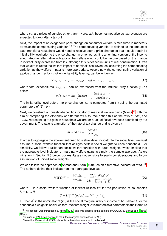where  $p_{-i}$  are prices of bundles other than i. Here,  $\Delta R_i$  becomes negative as tax revenues are expected to drop after a tax cut.

Next, the impact of an exogenous price change on consumer welfare is measured in monetary terms as the compensating variation.<sup>[12](#page-8-0)</sup> The compensating variation is defined as the amount of cash transfer a household would need to receive after a price change so that it could reach its initial utility level prior to the price change. In other words, it is a nominal version of the income effect. Another alternative indicator of the welfare effect could be the one based on the change in indirect utility expressed from (1), although this is defined in units of real consumption. Given that we aim to relate the welfare impact to nominal fiscal revenues, assuming the compensating variation as the welfare impact is more appropriate. Accordingly, the compensating variation of a price change in  $p_i$  by  $\tau_i$ , given initial utility level  $v_0$ , can be written as

$$
\Delta W_i (p_i \tau_i, p_{-i}) = m(p_i, p_{-i}, v_0) - m(p_i \tau_i, p_{-i}, v_0), \qquad (17)
$$

where total expenditures,  $m(p, v_0)$ , can be expressed from the indirect utility function (1) as below.

$$
m(p, v_0) = \exp\left(\ln a(p) + \frac{b(p)\ln v_0}{1 - \lambda(p)\ln v_0}\right)
$$
 (18)

The initial utility level before the price change,  $v_0$ , is computed from (1) using the estimated parameters of  $(2) - (4)$ .

Next, we construct a household-specific indicator of marginal welfare gains (MWG)<sup>[13](#page-8-1)</sup> with the aim of comparing the efficiency of different tax cuts. We define this as the ratio of  $\Delta W_i$  and  $-\Delta R_i$  representing the gain in household welfare for a unit of fiscal revenues sacrificed by the government. The ratio is a function of the rate of tax change and is given by

$$
MWG(\tau_i) = -\frac{\Delta W_i(\tau_i)}{\Delta R_i(\tau_i)}.
$$
\n(19)

In order to aggregate the abovementioned household-level indicator to the social level, we must assume a social welfare function that assigns certain social weights to each household. For simplicity, we follow a utilitarian social welfare function with equal weights, which implies that the aggregate-level indicator of marginal welfare gains is simply the sample average. As we will show in Section 5.3 below, our results are not sensitive to equity considerations and to our assumption of unified social weights.

We can follow the approach of [Ahmad and Stern](#page-21-3) [\(1984\)](#page-21-3) as an alternative indicator of MWG<sup>[14](#page-8-2)</sup>. The authors define their indicator on the aggregate level as

$$
MWG_i^{AS} = -\frac{\partial U/\partial t_i}{\partial R/\partial t_i} = \frac{\sum_{h=1}^H \theta^h m^h w_i^h}{M_i + \sum_{k=1}^N \frac{M_k e_{ki}^u t_k}{1 + t_k}},
$$
\n(20)

where  $U$  is a social welfare function of indirect utilities  $V^h$  for the population of households  $h = 1, ..., H$ 

$$
U = U\left[V^{1}\left(m^{1}, p\right), ..., V^{H}\left(m^{H}p\right)\right].
$$
\n(21)

Further,  $\theta^h$  in the nominator of (20) is the social marginal utility of income of household  $h$ , or the household's weight in social welfare. Welfare weight  $\theta^h$  is treated as a parameter in the literature

**MEASURING THE EFFICIENCY OF VAT REFORMS: EVIDENCE FROM SLOVAKIA**

<span id="page-8-0"></span><sup>&</sup>lt;sup>12</sup>The concept was introduced by [Hicks](#page-22-8) [\(1939\)](#page-22-8) and was applied in the context of QUAIDS by [Banks et al.](#page-21-6) [\(1996,](#page-21-6) [1997\)](#page-21-4).

<span id="page-8-1"></span><sup>&</sup>lt;sup>13</sup>In case of VAT hikes we would call it the marginal welfare loss (MWL).

<span id="page-8-2"></span><sup>&</sup>lt;sup>14</sup>Note that [Banks et al.](#page-21-6) [\(1996\)](#page-21-6) show this alternative measure to be biased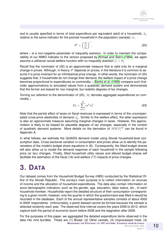and is usually specified in terms of total expenditure per equivalent adult of a household,  $I<sub>b</sub>$ , relative to the same indicator for the poorest household in the population (sample),  $I_1$ .

$$
\theta^h = \left(\frac{I_1}{I_h}\right)^{\varepsilon},\tag{22}
$$

where  $\varepsilon$  is a non-negative parameter of inequality aversion. In order to maintain the comparability of our MWG indicator to the version proposed by [Ahmad and Stern](#page-21-3) [\(1984\)](#page-21-3), we again assume a utilitarian social welfare function with no inequality aversion ( $\varepsilon = 0$ ).

Recall that the nominator of (20) is an approximate measure that is valid only for a marginal change in prices. Although, in theory,  $\theta^h$  depends on prices, in the literature it is common to assume it is price-invariant for an infinitesimal price change. In other words, the nominator of (20) suggests that, if households do not change their demand, the welfare impact of a price change becomes proportional to expenditures on commodity i. [Banks et al.](#page-21-6) [\(1996\)](#page-21-6) compare such firstorder approximations to simulated values from a quadratic demand system and demonstrate that the former are biased for non-marginal, but realistic degrees of tax changes.

Turning our attention to the denominator of (20),  $M_i$  denotes aggregate expenditures on commodity i

$$
M_i = \sum_{h=1}^{H} m^h w_i^h. \tag{23}
$$

Note that the partial effect of taxes on fiscal revenues is expressed in terms of the uncompensated cross-price elasticities of demand  $e_{ki}^u$ . Similar to the welfare effect, the latter expression is also an approximate measure assuming marginal changes in taxes. However, this approximation is likely to be biased for plausible degrees of tax changes, especially in the context of quadratic demand systems. More details on the derivation of  $MWG_i^{AS}$  can be found in Appendix A.

In what follows, we estimate the QUAIDS demand model using Slovak household-level consumption data. Cross-sectional variation in consumption and prices allow us to identify the parameters of the model's budget share equations in (8). Consequently, the fitted budget shares will also allow us to model the demand response of each household in the sample following price (or tax) changes. Finally, fitted household utility values and altered budget shares will facilitate the estimation of the fiscal (16) and welfare (17) impacts of price changes.

## **3. DATA**

Our dataset comes from the Household Budget Survey (HBS) conducted by the Statistical Office of the Slovak Republic. The survey's main purpose is to collect information on sources of income and the allocation of household expenditures. The data also contain information on socio-demographic indicators, such as the gender, age, education, labor status, etc., of each household member. Households report the detailed structure of their consumption corresponding to a given month; however, only the quarter in which the questionnaire was filled in would be recorded in the database. Each of the annual representative samples consists of about 4500 to 6000 respondents. Unfortunately, a panel dataset cannot be formed because the sample is selected randomly each year. The observed time interval covers the years 2006 to 2012, which capture both the period of economic boom before 2008 and the stagnation after 2009.

For the purposes of this paper, we aggregated the detailed expenditure items observed in the data into nine bundles. These are (1) Bread, (2) Other cereals, (3) Unprocessed meat, (4) **MEASURING THE EFFICIENCY OF VAT REFORMS: EVIDENCE FROM SLOVAKIA**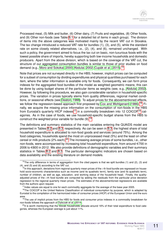Processed meat, (5) Milk and butter, (6) Other dairy, (7) Fruits and vegetables, (8) Other foods, and (9) Other non-foods (see Table [B.1](#page-13-0) for a detailed list of items in each group). The division of items into the above categories was motivated mainly by the recent VAT cut in Slovakia. The tax change introduced a reduced VAT rate for bundles (1), (3), and (5), while the standard rate on some closely related alternatives, i.e., (2), (4), and (6), remained unchanged. With such a policy, the government aimed to focus the tax cut on basic, non-luxurious foods with the lowest possible share of imports, hereby supporting both low-income households and domestic producers. Apart from the above division, which is based on the coverage of the VAT cut, the structure of our aggregated consumption bundles is similar to those of prior studies on food demand (e.g., [Moro and Sckokai, 2000;](#page-23-7) [Abdulai, 2002;](#page-21-9) Cupák et al., 20[15](#page-10-0)).<sup>15</sup>

Note that prices are not surveyed directly in the HBS; however, implicit prices can be computed for a subset of consumption by dividing expenditures and physical quantities purchased for each item, where the latter information is available only for foods. Consequently, we can form price indexes for the aggregated food bundles of the model as weighted geometric means; this can be done by using budget shares of the particular items as weights (see, e.g., [Abdulai, 2002\)](#page-21-9). However, by following this procedure, we also gain considerable variation in household-specific prices. The variation in prices typically stems from quality differences, regional market conditions, or seasonal effects (see [Deaton, 1988\)](#page-22-10). To adjust prices for the abovementioned effects, we follow the regression-based approach first proposed by [Cox and Wohlgenant](#page-21-10) [\(1986\)](#page-21-10).<sup>[16](#page-10-1)</sup> Finally, we acquire the missing price information on the consumption of non-foods in the HBS from Eurostat's quarterly HICP indexes<sup>[17](#page-10-2)</sup> in a commodity breakdown into 12 COICOP<sup>[18](#page-10-3)</sup> categories. As in the case of foods, we use household-specific budget shares from the HBS to construct the weighted price variable for bundle (9).<sup>[19](#page-10-4)</sup>

The definitions and summary statistics of the main variables entering the QUAIDS model are presented in Tables [B.2](#page-15-0) and [B.3,](#page-17-0) respectively. As can be seen in [B.3,](#page-17-0) the highest share of total household expenditure is allocated to non-food goods and services (around 75%). Among the food categories, households spend the most on unprocessed meat (5%) and the least on other cereal or milk products (2% each).<sup>[20](#page-10-5)</sup> The increasing average prices of some bundles, i.e., other non-foods, were accompanied by increasing total household expenditure, from around  $\in 700$  in 2006 to  $\in$ 800 in 2012. We also provide definitions of demographic variables and their summary statistics in Tables [B.2](#page-15-0) and [B.3.](#page-17-0) The particular demographic indicators are chosen based on data availability and the existing literature on demand models.

<span id="page-10-0"></span> $15$ The only difference in terms of aggregation from the cited papers is that we split bundles (1) and (2), (3) and (4), and (5) and (6) according to the VAT cut.

<span id="page-10-1"></span> $16$  In this approach, deviations from regional quarterly mean prices of the  $i$ -th food bundle are regressed on household socio-economic characteristics such as income (and its quadratic term), family size (and its quadratic term), number of children, as well as age, education, and working status of the household head. Finally, the qualityadjusted prices of the i-th food bundle are computed by adding the residuals from the particular price deviation regression to the regional quarterly mean prices. The estimates of the abovementioned regressions are available from the authors upon request.

<span id="page-10-3"></span><span id="page-10-2"></span> $17$ Index values are equal to one for each commodity aggregate for the average of the base year 2005.

<sup>&</sup>lt;sup>18</sup>The COICOP is the United Nations Classification of individual consumption by purpose, which is adapted by Eurostat to the compilation of the harmonized index of consumer prices (HICP) of the European Union and the euro area.

<span id="page-10-4"></span><sup>&</sup>lt;sup>19</sup>The use of implicit prices from the HBS for foods and consumer price indexes in a commodity breakdown for non-foods follows the approach of [Dybczak et al.](#page-22-11) [\(2014\)](#page-22-11).

<span id="page-10-5"></span><sup>&</sup>lt;sup>20</sup>It is worth mentioning that the Slovak households allocate around 16% of their total expenditure to food categories, whereas the European average is just about 11%.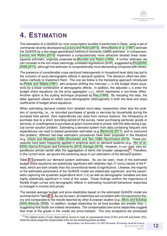# **4. ESTIMATION**

The estimation of a QUAIDS for nine consumption bundles is performed in Stata, using a set of commands recently developed by [Lecocq and Robin](#page-23-8) [\(2015\)](#page-23-8). While [Banks et al.](#page-21-4) [\(1997\)](#page-21-4) estimate the QUAIDS by a two-stage generalized method of moments (GMM) estimator. In comparison, [Lecocq and Robin](#page-23-8) [\(2015\)](#page-23-8) implement a computationally more attractive iterated linear leastsquares estimator, originally proposed by [Blundell and Robin](#page-21-11) [\(1999\)](#page-21-11). A further estimator we can consider is the non-linear seemingly unrelated regressions (SUR), suggested by [Poi](#page-23-9) [\(2002,](#page-23-9) [2008,](#page-23-10) [2012\)](#page-23-11), although this estimator is computationally more demanding compared with others.

The presence of considerable cross-sectional heterogeneity in household-level data has led to the inclusion of socio-demographic effects in demand systems. The literature offers two alternative methods to implement them. The one we follow is the translating approach introduced by [Pollak and Wales](#page-23-12) [\(1981\)](#page-23-12), who propose shifting the intercept  $\alpha_i$  in the budget share equations by a linear combination of demographic effects. In addition, the adjusted  $\alpha_i$ -s enter the budget share equations via the price aggregator  $a(p)$ , which represents a non-linear effect. Another option is the scaling technique proposed by [Ray](#page-23-13) [\(1983\)](#page-23-13). By rescaling the data, the latter approach allows to reflect socio-demographic heterogeneity in both the level and slope coefficients of budget share equations.

When estimating demand models from detailed micro-data, researchers often face the problem of censoring, i.e., no recorded purchases of goods or services by households during the surveyed time period. Zero expenditures can arise from various reasons: the infrequency of purchase due to a short recording period of the survey, never purchasing particular goods or services, or unwillingness to purchase at given income level or prices, with the latter being a typical corner solution problem. Estimating a demand system from data containing frequent zero expenditures can lead to biased parameter estimates (e.g. [Barslund, 2011\)](#page-21-12), and to overcome this problem, different two-step estimation procedures have been proposed in the literature (e.g., [Heien and Wesseils, 1990;](#page-22-12) [Shonkwiler and Yen, 1999;](#page-24-3) [Tauchmann, 2010\)](#page-24-4). These procedures have been frequently applied in empirical work on demand systems (e.g., [Yen et al.,](#page-24-5) [2002;](#page-24-5) García-Enríquez and Echevarría, 2016; [Savage, 2016\)](#page-23-6). However, in our case, zero ex-penditures almost vanish after the aggregation of items into broader categories.<sup>[21](#page-11-0)</sup> Therefore, in the current work, we ignore the censoring issue in our estimation of the demand system.

Table [B.4](#page-18-0) presents our demand system estimates. As can be seen, most of the estimated budget share equations are statistically significant with relatively high  $R<sup>2</sup>$  and p-values of the Ftests, which are both smaller than the conventional levels of significance. Likewise, the majority of the estimated parameters of the QUAIDS model are statistically significant, and the parameters capturing the quadratic expenditure term  $(\lambda)$ 's) as well as demographic variables are also highly statistically significant in most of the cases. These findings confirm the importance of flexible Engel curves and demographic effects in estimating household behavioral responses to changes in income and prices.

The sample average budget and price elasticities based on the estimated QUAIDS model are summarized in Table [B.5.](#page-31-0) As can be seen, all elasticities are consistent with microeconomic theory and comparable to the results reported by other European studies (e.g., [Moro and Sckokai,](#page-23-7) [2000;](#page-23-7) [Abdulai, 2002\)](#page-21-9). In addition, budget elasticities for all food bundles are smaller than 1, suggesting that foods are indeed necessities. The compensated own-price elasticities suggest that most of the goods in the model are price-inelastic. The only exceptions are processed

**6**/2017

<span id="page-11-0"></span> $21$ The highest share of zero observations occurs in case of unprocessed meat (3.5%) and milk and butter (2%), while the same proportion drops below 0.6% for the remaining seven bundles.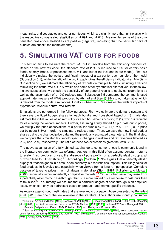meat, fruits, and vegetables and other non-foods, which are slightly more than unit-elastic with the respective compensated elasticities of -1.091 and -1.018. Meanwhile, some of the compensated cross-price elasticities are positive (negative), indicating that the particular pairs of bundles are substitutes (complements).

# **5. SIMULATING VAT CUTS FOR FOODS**

This section aims to evaluate the recent VAT cut in Slovakia from the efficiency perspective. Based on the new tax code, the standard rate of 20% is reduced to 10% for certain basic foods, namely, bread, unprocessed meat, milk and butter (all included in our model). First, we individually simulate the welfare and fiscal impacts of a tax cut for each bundle of the model (Subsection 5.1), while the ratio of the two impacts gives the efficiency indicator (i.e., MWG). In Subsection 5.2, we estimate the efficiency of tax cuts on multiple bundles, including a version mimicking the actual VAT cut in Slovakia and some other hypothetical alternatives. In the following two subsections, we check the sensitivity of our general results to equity considerations as well as the assumption of a 10% reduced rate. Subsection 5.5 compares the commonly used approximate measure of MWG proposed by [Ahmad and Stern](#page-21-3) [\(1984\)](#page-21-3) to our alternative, which is derived from the model simulations. Finally, Subsection 5.6 estimates the welfare impacts of hypothetical revenue-neutral VAT reforms.

Simulations are performed in the following steps. First, we estimate the demand system and then save the fitted budget shares for each bundle and household based on (8). We also estimate the initial values of indirect utility for each household according to (1), which is required for calculating the welfare impacts. Further, assuming a fully shifted 10 p.p. VAT cut to prices, we multiply the price observations of a particular bundle by  $\tau = 1.1/1.2 \approx 0.927$  (i.e., a price cut by about 8.3%) in order to simulate a reduced rate. Then, we save the new fitted budget shares using the changed price data and the previously estimated parameters. In the final step, we compute the simulated household-specific changes in welfare and tax revenues labeled as  $\Delta W_i$  and - $\Delta R_i$ , respectively. The ratio of these two expressions gives the MWG (19).

The above assumption of a fully shifted tax change to consumer prices is commonly found in the literature on commodity tax reforms. Authors in this field often assume constant returns to scale, fixed producer prices, the absence of pure profits, or a perfectly elastic supply, all of which lead to full tax shifting.<sup>[22](#page-12-0)</sup> Accordingly, [Madden](#page-23-4) [\(1995\)](#page-23-4) argues that a perfectly elastic supply of tradable goods in a small open economy is a realistic assumption. This likely holds for food products in Slovakia too, especially when viewed from a long-run perspective. Complete pass-on of taxes to prices may not always materialize [\(Stern, 1987;](#page-24-6) [Fullerton and Metcalf,](#page-22-14) [2002\)](#page-22-14), especially within imperfectly competitive markets.[23](#page-12-1) Yet, a further issue may arise from a potentially asymmetric pass-through, that is, a more limited price response to VAT cuts than to tax hikes.<sup>[24](#page-12-2)</sup> In summary, we assume that a particular degree of pass-through is an empirical issue, which can only be addressed based on product- and market-specific evidence.

As regards pass-through estimates that are relevant to our paper, those presented by [Benedek](#page-21-13) [et al.](#page-21-13) [\(2015\)](#page-21-13) are one of the few available in the literature. The authors use monthly consumer

<span id="page-12-0"></span><sup>&</sup>lt;sup>22</sup>See e.g., [Ahmad and Stern](#page-21-3) [\(1984\)](#page-21-3), [Banks et al.](#page-21-6) [\(1996,](#page-21-6) [1997\)](#page-21-4), [Decoster and Schokkaert](#page-22-5) [\(1989,](#page-22-5) [1990\)](#page-22-6), [Decoster](#page-22-0) [et al.](#page-22-0) [\(2010\)](#page-22-0), García-Enríquez and Echevarría [\(2016\)](#page-23-6), [Madden](#page-23-4) [\(1995,](#page-23-4) [1996\)](#page-23-5) [Santoro](#page-23-1) [\(2007\)](#page-23-1) and [Savage](#page-23-6) (2016).

<span id="page-12-2"></span><span id="page-12-1"></span> $23$ See also [Delipalla and Keen](#page-22-15) [\(1992\)](#page-22-15), [Poterba](#page-23-14) [\(1996\)](#page-23-14), and [Besley and Rosen](#page-21-14) [\(1999\)](#page-21-14).

<sup>&</sup>lt;sup>24</sup> Such asymmetry can follow from increasing marginal inventory costs [\(Blinder, 1982\)](#page-21-15), lower consumer search costs if prices are falling [\(Benabou and Gertner, 1993;](#page-21-16) [Lewis, 2011\)](#page-23-15), or simply from market concentration [\(Carlton,](#page-21-17) [1986;](#page-21-17) [Deltas, 2008;](#page-22-16) [Verlinda, 2008\)](#page-24-7).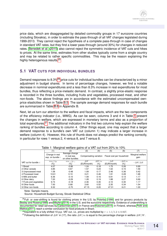price data, which are disaggregated by detailed commodity groups in 17 eurozone countries (including Slovakia), in order to estimate the pass-through of all VAT changes legislated during 1999-2013. They cannot reject the hypothesis of a complete pass-through in case of changes in standard VAT rates, but they find a lower pass-through (around 30%) for changes in reduced rates. [Benedek et al.](#page-21-13) [\(2015\)](#page-21-13) also cannot reject the symmetric incidence of VAT cuts and hikes to prices. At the same time, estimates from other studies typically come from a single country and may be related to rather specific commodities. This may be the reason explaining the highly heterogenous results.<sup>[25](#page-13-1)</sup>

#### **5.1 VAT CUTS FOR INDIVIDUAL BUNDLES**

Demand responses to 8.3%<sup>[26](#page-13-2)</sup> price cuts for individual bundles can be characterized by a minor adjustment in budget shares. In terms of percentage changes, however, we find a notable decrease in nominal expenditures and a less than 8.3% increase in real expenditures for most bundles, thus reflecting a price-inelastic demand. In contrast, a slightly price-elastic response is recorded in the three bundles, including fruits and vegetables, processed meat, and other non-foods. The above findings are in accordance with the estimated uncompensated ownprice elasticities shown in Table [B.5.](#page-31-0) The sample average demand responses for each bundle are summarized in Table [B.6](#page-31-1) in Appendix B.

Next, let us turn our attention to the welfare and fiscal impacts, which are the two components of the efficiency indicator (i.e., MWG). As can be seen, columns 3 and 4 in Table [1](#page-13-0) present the changes in welfare, which are expressed in monetary terms and also as a proportion of total expenditures.<sup>[27](#page-13-3)</sup> The additional indicators in the first two columns help explain the welfare ranking of bundles according to column 4. Other things equal, one may expect that a larger demand response to a bundle's own VAT cut (column 1) may indicate a larger increase in welfare (column 4). However, this rule of thumb does not always predict the ranking correctly, in particular for rows 1 versus 2, 4 versus 8, and 7 versus 8.

|                          | (1)                                  | (2)                                                | (3)                    | (4)          | (5)                       | (6)           | (7)                      |
|--------------------------|--------------------------------------|----------------------------------------------------|------------------------|--------------|---------------------------|---------------|--------------------------|
|                          | Change in real<br>exp. on bundle $i$ | Average change<br>in real exp.<br>on other bundles | Compensating variation |              | Fiscal cost per household |               | Marginal welfare<br>gain |
| VAT cut for bundle $i$ : | $mw_i/\tau p_i$                      | $mw_{-i}/p_{-i}$                                   | $\Delta W$             | $\Delta W/m$ | $-\Delta R$               | $-\Delta R/m$ | $-\Delta W/\Delta R$     |
|                          | (%)                                  | (%)                                                | (EUR/month)            | (%)          | (EUR/month)               | $(\% )$       |                          |
| 1 Bread                  | 4.07                                 | $-0.86$                                            | 1.24                   | 0.18         | 1.75                      | 0.26          | 0.69                     |
| 2 Other cereals          | 3.85                                 | 0.67                                               | 1.57                   | 0.23         | 1.02                      | 0.15          | 1.56                     |
| 3 Unprocessed meat       | 1.58                                 | $-0.48$                                            | 1.09                   | 0.17         | 2.46                      | 0.36          | 0.42                     |
| 4 Processed meat         | 10.61                                | 0.10                                               | 3.21                   | 0.46         | 1.91                      | 0.28          | 1.68                     |
| 5 Milk and butter        | 6.36                                 | $-0.10$                                            | 1.09                   | 0.16         | 0.91                      | 0.13          | 1.17                     |
| 6 Other dairy            | 7.00                                 | $-0.29$                                            | 1.28                   | 0.19         | 1.88                      | 0.27          | 0.69                     |
| 7 Fruits and vegetables  | 9.74                                 | $-0.18$                                            | 2.46                   | 0.35         | 2.10                      | 0.30          | 1.17                     |
| 8 Other foods            | 7.93                                 | 0.68                                               | 3.60                   | 0.52         | 2.35                      | 0.34          | 1.54                     |
| 9 Other non-foods        | 9.32                                 | $-0.70$                                            | 47.15                  | 6.20         | 47.31                     | 6.21          | 1.00                     |

<span id="page-13-0"></span>

|  |  |  | Table 1: Marginal welfare gains of a VAT cut from 20% to 10% |  |
|--|--|--|--------------------------------------------------------------|--|
|--|--|--|--------------------------------------------------------------|--|

Note: Sample means.

<span id="page-13-1"></span><sup>&</sup>lt;sup>25</sup>Full- or over-shifting is found for clothing prices in the U.S. by [Poterba](#page-23-14) [\(1996\)](#page-23-14) and for grocery products by [Besley and Rosen](#page-21-14) [\(1999\)](#page-21-14) and [Meyler](#page-23-16) [\(2014\)](#page-23-16) in the U.S. and the eurozone respectively. Evidence of undershifting is documented for retail services by [Carbonnier](#page-21-18) [\(2007\)](#page-21-18) in France and [Kosonen](#page-23-17) [\(2015\)](#page-23-17) in Finland, whereas [Politi and](#page-23-18) [Mattos](#page-23-18) [\(2011\)](#page-23-18) reach a similar conclusion for food products in Brazil.

<span id="page-13-2"></span><sup>&</sup>lt;sup>26</sup> Equivalent to a fully shifted 10 p.p. VAT cut, i.e., prices are multiplied by  $\tau = 1.1/1.2 \approx 0.927$ .

<span id="page-13-3"></span><sup>&</sup>lt;sup>27</sup>Following the definition of ∆W in (17), the ratio  $\Delta W/m$  is equal to the percentage change in welfare  $\Delta W/W$ .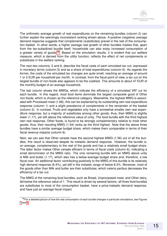The arithmetic average growth of real expenditures on the remaining bundles (column 2) can further explain the seemingly inconsistent ranking shown above. A positive (negative) average demand response suggests that complements (substitutes) prevail in the rest of the consumption basket. In other words, a higher average real growth of other bundles implies that, apart from the tax-subsidized bundle itself, households can also enjoy increased consumption of a greater variety of goods.<sup>[28](#page-14-0)</sup> Based on the simulation results, it is evident that our welfare measure, which is derived from the utility function, reflects the effect of net complements or substitutes in the welfare ranking.

The next two columns, 5 and 6, describe the fiscal costs of each simulated tax cut, expressed in monetary terms (column 5) and as a share of total expenditures (column 6). As regards the former, the costs of the simulated tax changes are quite small, reaching an average of around 1 or 2 EUR per household per month. In contrast, from the fiscal point of view, a tax cut on the largest bundle of non-foods also appears to be the costliest. This amounts to about 47 EUR of the monthly budget of an average household.

The last column shows the MWGs, which indicate the efficiency of a simulated VAT cut for each bundle. In this regard, most food items dominate the largest composite good of Other non-foods, which is chosen as the reference category. Meanwhile, the highest MWG is associated with Processed meat (1.68); this can be explained by its outstanding own real expenditure response (column 1) and a slight prevalence of complements in the remainder of the basket (column 2). In contrast, Fruits and vegetables only have a somewhat smaller own real expenditure response, but a majority of substitutes among other goods; thus, their MWG is slightly lower (1.17), yet still above the reference value of unity. The food bundle with the third highest own real response, Other foods, is found to be strongly complementary relative to most other goods; thus, their resulting MWG (1.54) ranks as the third highest. Note that the above three bundles have a similar average budget share, which makes them comparable in terms of their fiscal revenue impacts (column 6).

Next, we can see that Other cereals have the second highest MWG (1.56) out of all the bundles; this result is observed despite its inelastic demand response. However, the bundle is, on average, complementary to the rest of the goods and has a relatively small budget share. The latter factor makes Other cereals efficient in terms of fiscal costs (column 6), indicating a small denominator of the MWG ratio. The only remaining bundle with an MWG above unity is Milk and butter (1.17), which also has a below-average budget share and, therefore, a low fiscal cost. An additional factor contributing positively to the MWG of this bundle is its relatively high demand response (6.4%), yet still in the inelastic range of below 8.3%. Moreover, most of the goods other than Milk and butter are their substitutes, which ceteris paribus decreases the efficiency of a tax cut.

The MWG of the remaining food bundles, such as Bread, Unprocessed meat, and Other dairy, fall below the reference value of 1. This result is driven by several factors: all three food bundles are substitutes to most of the consumption basket, have a price-inelastic demand response, and have just an average fiscal impact.

<span id="page-14-0"></span><sup>&</sup>lt;sup>28</sup> For a detailed picture of how the real consumption of each bundle changes in particular simulations, see Figures [1](#page-33-0) and [2.](#page-34-0)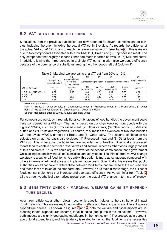#### **5.2 VAT CUTS FOR MULTIPLE BUNDLES**

Simulations from the previous subsection are now repeated for several combinations of bundles, including the one mimicking the actual VAT cut in Slovakia. As regards the efficiency of the actual VAT cut (0.62), it fails to reach the reference value of 1 (see Table [2\)](#page-15-0). This is mainly due to two components associated with a low MWG: (1) Bread and (3) Unprocessed meat. The only component that slightly exceeds Other non-foods in terms of MWG is (5) Milk and butter. In addition, joining the three bundles in a single VAT cut simulation also worsened efficiency because of the dominance of substitutes among the other goods left out (column 2).

|                            | $1000$ $\mu$ . Marginar wollard gains or a with out from 20 % to 10 % |                                                    |             |              |                                                  |               |                          |  |  |  |  |
|----------------------------|-----------------------------------------------------------------------|----------------------------------------------------|-------------|--------------|--------------------------------------------------|---------------|--------------------------|--|--|--|--|
|                            |                                                                       | (2)                                                | (3)         | (4)          | (5)                                              | (6)           | (7)                      |  |  |  |  |
|                            | Change in real<br>exp. on bundle $i$                                  | Average change<br>in real exp.<br>on other bundles |             |              | Compensating variation Fiscal cost per household |               | Marginal welfare<br>qain |  |  |  |  |
| VAT cut for bundle $i$ :   | $mw_i/\tau p_i$                                                       | $mw_{-i}/p_{-i}$                                   | $\Delta W$  | $\Delta W/m$ | $-\Delta R$                                      | $-\Delta R/m$ | $-\Delta W/\Delta R$     |  |  |  |  |
|                            | (%)                                                                   | (%)                                                | (EUR/month) | (%)          | (EUR/month)                                      | (%)           |                          |  |  |  |  |
| 1, 3, 5 - the 2016 VAT cut | 3.80                                                                  | $-1.86$                                            | 3.43        | 0.51         | 5.12                                             | 0.75          | 0.62                     |  |  |  |  |
| 2, 4, 5, 7, 8              | 5.35                                                                  | 1.77                                               | 11.89       | 1.70         | 8.31                                             | 1.01          | 1.43                     |  |  |  |  |
| 2, 5, 7                    | 7.32                                                                  | 0.38                                               | 5.12        | 0.74         | 4.04                                             | 0.58          | 1.27                     |  |  |  |  |
| $1 - 8$                    | 5.65                                                                  | 0.87                                               | 15.43       | 2.23         | 14.31                                            | 2.08          | 1.08                     |  |  |  |  |

<span id="page-15-0"></span>

| Table 2: Marginal welfare gains of a VAT cut from 20% to 10% |  |  |  |  |  |  |
|--------------------------------------------------------------|--|--|--|--|--|--|
|--------------------------------------------------------------|--|--|--|--|--|--|

Note: sample means.

Key: 1 - Bread, 2 - Other cereals, 3 - Unprocessed meat, 4 - Processed meat, 5 - Milk and butter, 6 - Other dairy, 7 - Fruits and vegetables, 8 - Other foods, 9 - Other non-foods. Source: Household Budget Survey, Slovak Statistical Office

For comparison, we study three additional combinations of food bundles the government could have considered for a VAT cut. The first is based on our cherry-picking from goods with the highest MWGs, such as (4) Processed meat, (2) Other cereals, (8) Other foods, (5) Milk and butter, and (7) Fruits and vegetables. Of course, this implies the exclusion of two food bundles with the lowest MWGs, namely (1) Bread and (6) Other dairy. The second combination we selected on an ad hoc basis also excluded (4) Processed meat and (8) Other foods from the VAT cut. This is because the latter two are regarded as unhealthy. Specifically, processed meats tend to contain chemical preservatives and sodium, whereas other foods largely consist of fats and sweets. Thus, we could argue in favor of the second combination that a government while acting responsibly should not subsidize unhealthy foods. The third alternative VAT change we study is a cut for all food items. Arguably, this option is more advantageous compared with others in terms of administrative and implementation costs. Specifically, this means that public authorities would not have to differentiate between food items that are taxed at the reduced rate and those that are taxed at the standard rate. However, as its main disadvantage, the full set of foods contains elements that increase and decrease efficiency. As we can infer from Table [2,](#page-15-0) all the three hypothetical alternatives prevail over the actual VAT change in terms of efficiency.

#### **5.3 SENSITIVITY CHECK - MARGINAL WELFARE GAINS BY EXPENDI-TURE DECILES**

Apart from efficiency, another relevant economic question relates to the distributional impact of VAT reforms. This means exploring whether welfare and fiscal impacts are different across expenditure deciles. As shown in Figures [3](#page-35-0) and [4,](#page-36-0) both the welfare and fiscal impacts are increasing in total expenditures (income) for all bundles (subfigures in the left column). However, both impacts are slightly decreasing (subfigures in the right column) if expressed as a percentage of total expenditures, and this tendency is related to the fact that food items are necessities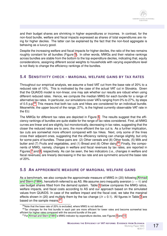and their budget shares are shrinking in higher expenditures or incomes. In contrast, for the non-food bundle, welfare and fiscal impacts expressed as shares of total expenditures are rising for higher deciles. The latter can be explained by the fact that the non-food aggregate is behaving as a luxury good.

Despite the increasing welfare and fiscal impacts for higher deciles, the ratio of the two remains roughly constant for all bundles (Figure [5\)](#page-37-0). In other words, MWGs and their relative rankings across bundles are stable from the bottom to the top expenditure deciles, indicating that, equity considerations, assigning different social weights to households with varying expenditure level is not likely to change the efficiency rankings of the bundles.

#### **5.4 SENSITIVITY CHECK - MARGINAL WELFARE GAINS BY TAX RATES**

Throughout our empirical analysis, we assume a fixed VAT cut from the base rate of 20% to a reduced rate of 10%. This is motivated by the case of the actual VAT cut in Slovakia. Given that the QUAIDS model is non-linear, one may ask whether our results are robust when using different reduced rates. Hence, we compute the median MWG for each bundle for a range of alternative tax rates. In particular, our simulations cover VATs ranging from 0% to 27%, by steps of 0.5 p.p.<sup>[29](#page-16-0)</sup> This means that both tax cuts and hikes are considered for an individual bundle. Meanwhile, the upper bound of the range, 27%, is the highest currently observable VAT rate in the EU.

The MWGs for different tax rates are depicted in Figure [6.](#page-38-0) The results suggest that the efficiency rankings of bundles are quite stable for the range of tax rates considered. First, all MWG curves are linear and are slightly, but monotonically, decreasing in tax rates, suggesting that the closer the reduced rates are to zero, the more efficient the tax cut is. As a further implication, tax cuts are somewhat more efficient compared with tax hikes. Next, only some of the lines cross their adjacent ones, suggesting that the efficiency ranking can change slightly, but only for some pairs of bundles. These pairs are: (2) Other cereals and (8) Other foods, (5) Milk and butter and (7) Fruits and vegetables, and (1) Bread and (6) Other dairy.<sup>[30](#page-16-1)</sup> Finally, the components of MWG, namely, changes in welfare and fiscal revenues by tax rates, are reported in Figures [7](#page-39-0) and [8,](#page-40-0) respectively. As can be seen, the two indicators (i.e., changes in welfare and fiscal revenues) are linearly decreasing in the tax rate and are symmetric around the base rate of 20%.

#### **5.5 AN APPROXIMATE MEASURE OF MARGINAL WELFARE GAINS**

As a benchmark, we also compute the approximate measure of MWG in (20) following [Ahmad](#page-21-3) [and Stern](#page-21-3) [\(1984\)](#page-21-3), henceforth referred to as AS. We assume zero inequality aversion ( $\varepsilon = 0$ ) and use budget shares fitted from the demand system. Table [3](#page-17-0) below compares the MWG ratios, welfare impacts, and fiscal costs according to AS and our approach based on the simulated values from QUAIDS. In case of the welfare impact and the fiscal cost, we take the marginal effects shown in (20) and multiply them by the tax change ( $\partial t = 0.1$ ). All figures in Table [3](#page-17-0) are based on the sample means.<sup>[31](#page-16-2)</sup>

<span id="page-16-1"></span><span id="page-16-0"></span> $29$ Note that the base rate of 20% is excluded, where MWG is not defined.

<sup>&</sup>lt;sup>30</sup>Tax changes for the first bundle in each pair are more efficient for lower rates and become somewhat less efficient for higher rates compared with the second bundle of the pair.

<span id="page-16-2"></span><sup>&</sup>lt;sup>31</sup> For [Ahmad and Stern](#page-21-3) [\(1984\)](#page-21-3)'s MWG indicator by expenditure deciles, see Figures [9](#page-41-0) and [10.](#page-42-0)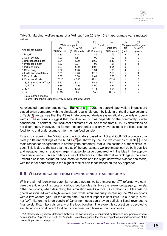| u.uv                       | (1)         | (2)            | (3)         | (4)           | (5)                   | (6)           |
|----------------------------|-------------|----------------|-------------|---------------|-----------------------|---------------|
|                            |             | Welfare impact |             | Fiscal cost   | Marginal welfare gain |               |
| VAT cut for bundle $i$ :   | AS          | <b>QUAIDS</b>  | AS          | <b>QUAIDS</b> | AS                    | <b>QUAIDS</b> |
|                            | (EUR/month) | (EUR/month)    | (EUR/month) | (EUR/month)   | (rank)                | (rank)        |
| 1 Bread                    | 1.83        | 1.24           | 1.85        | 1.75          | 2                     | 8             |
| 2 Other cereals            | 1.07        | 1.57           | 1.09        | 1.02          | 6                     | 2             |
| 3 Unprocessed meat         | 2.64        | 1.09           | 2.69        | 2.46          |                       | 9             |
| 4 Processed meat           | 1.89        | 3.21           | 1.93        | 1.91          | 8                     |               |
| 5 Milk and butter          | 0.93        | 1.09           | 0.95        | 0.91          | 9                     | 5             |
| 6 Other dairy              | 1.92        | 1.28           | 1.94        | 1.88          | 4                     |               |
| 7 Fruits and vegetables    | 2.09        | 2.46           | 2.12        | 2.10          | 5                     | 4             |
| 8 Other foods              | 2.38        | 3.60           | 2.41        | 2.35          | 3                     | 3             |
| 9 Other non-foods          | 47.20       | 47.15          | 47.11       | 47.31         |                       | 6             |
| 1, 3, 5 - the 2016 VAT cut | 5.40        | 3.43           | 5.49        | 5.12          | $\mathcal{P}$         | 4             |
| 2, 4, 5, 7, 8              | 8.36        | 11.89          | 8.50        | 8.31          | 3                     |               |
| 2, 5, 7                    | 4.09        | 5.12           | 4.16        | 4.04          | 4                     | 2             |
| $1 - 8$                    | 14.98       | 14.31          | 14.74       | 15.43         |                       | 3             |

<span id="page-17-0"></span>Table 3: Marginal welfare gains of a VAT cut from 20% to 10% - approximate vs. simulated values

Note: sample means.

Source: Household Budget Survey, Slovak Statistical Office

As expected from prior studies (e.g., [Banks et al., 1996\)](#page-21-6), the approximate welfare impacts are biased when compared with the simulated results, although by looking at the first two columns of Table [3,](#page-17-0) we can see that the AS estimate does not deviate systematically upwards or downwards. These results suggest that the direction of bias depends on the commodity bundle considered. In contrast, the fiscal cost estimates of AS and those from QUAIDS simulations do not differ much. However, the former measure tends to slightly overestimate the fiscal cost for food items and underestimate it for the non-food bundle.

Finally, considering the MWG ratio, the indicators based on AS and QUAIDS produce com-pletely different rankings of the bundles,<sup>[32](#page-17-1)</sup> as shown by the last two columns of Table [3.](#page-17-0) The main reason for disagreement is probably the numerator, that is, the estimate of the welfare impact. This is due to the fact that the bias of the approximate welfare impact can be both positive and negative, and is relatively larger in absolute value compared with the bias in the approximate fiscal impact. A secondary cause of differences in the alternative rankings is the small upward bias in the estimated fiscal costs for foods and the slight downward bias for non-foods, with the latter contributing to the highest rank of non-foods based on the AS approach.

#### **5.6 WELFARE GAINS FROM REVENUE-NEUTRAL REFORMS**

With the aim of identifying potential revenue-neutral welfare-improving VAT reforms, we compare the efficiency of tax cuts on various food bundles vis-a-vis the reference category, namely, Other non-foods, when describing the simulation results above. Such reforms cut the VAT on goods associated with a high welfare gain while simultaneously increasing the VAT on goods with a low welfare gain. At the same time, the fiscal impact is kept zero. In our setup, a minor VAT hike on the large bundle of Other non-foods can provide sufficient fiscal revenues to finance significant tax cuts on any of the food bundles. Therefore this subsection is devoted to simulating cuts on different food items combined with hikes on non-food ones.

<span id="page-17-1"></span> $32A$  statistically significant difference between the two rankings is confirmed by Kendall's non-parametric rank correlation test. A p-value of 0.466 for Kendall's  $\tau$  statistic suggests that the null hypothesis of independence of the two rankings cannot be rejected.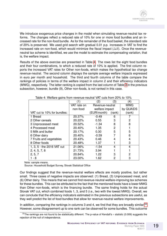We introduce exogenous price changes in the model when simulating revenue-neutral tax reforms. The changes reflect a reduced rate of 10% for one or more food bundles and an increased rate for the non-food bundle. As for the remainder of the food basket, the standard rate of 20% is preserved. We used grid search with gradual 0.01 p.p. increases in VAT to find the increased rate on non-food, which would minimize the fiscal impact  $(\Delta R)$ . Once the revenueneutral tax scheme is identified, we use the model to estimate the compensating variation, that is, the welfare impact.

Results of the above exercise are presented in Table [4.](#page-18-0) The rows list the eight food bundles and their four combinations, to which a reduced rate of 10% is applied. The first column reports the increased VAT rates for Other non-foods, which makes the hypothetical tax change revenue-neutral. The second column displays the sample average welfare impacts expressed in euro per month and household. The third and fourth columns of the table compare the rankings of policies in terms of the welfare impact in column 2 and their efficiency indicators (MWG), respectively. The latter ranking is copied from the last column of Table [3](#page-17-0) in the previous subsection, however, bundle (9), Other non-foods, is not ranked in this case.

|                             | (1)         | (2)             | (3)            | $\left( 4\right)$ |
|-----------------------------|-------------|-----------------|----------------|-------------------|
|                             | VAT rate on | Revenue-neutral |                | <b>MWG</b>        |
|                             | non-food    | welfare impact  |                | by QUAIDS         |
| VAT cut to 10% for bundles: |             | (EUR/month)     | (rank)         | (rank)            |
| 1 Bread                     | 20.37%      | $-0.49$         | 6              |                   |
| 2 Other cereals             | 20.22%      | 0.55            | 3              | 2                 |
| 3 Unprocessed meat          | 20.52%      | $-1.34$         | 8              | 8                 |
| 4 Processed meat            | 20.40%      | 1.35            | $\overline{2}$ |                   |
| 5 Milk and butter           | 20.17%      | 0.30            | 5              | 5                 |
| 6 Other dairy               | 20.40%      | $-0.59$         |                | 6                 |
| 7 Fruits and vegetables     | 20.43%      | 0.46            | 4              | 4                 |
| 8 Other foods               | 20.48%      | 1.37            |                | 3                 |
| 1, 3, 5 - the 2016 VAT cut  | 21.06%      | $-1.54$         | 4              | 4                 |
| 2, 4, 5, 7, 8               | 21.73%      | 3.94            |                |                   |
| 2, 5, 7                     | 20.84%      | 1.22            | 3              | 2                 |
| 1 - 8                       | 23.00%      | 1.62            | 2              | 3                 |

<span id="page-18-0"></span>Table 4: Welfare gains from revenue-neutral VAT cuts from 20% to 10%

Note: sample means.

Source: Household Budget Survey, Slovak Statistical Office

Our findings suggest that the revenue-neutral welfare effects are mostly positive, but rather small. Three cases of negative impacts are observed: (1) Bread, (3) Unprocessed meat, and (6) Other dairy. This means that we cannot find revenue-neutral welfare-improving tax schemes for these bundles. This can be attributed to the fact that the mentioned foods have a lower MWG than Other non-foods, which is the financing bundle. The same finding holds for the actual Slovak VAT cut, which combined foods 1, 3, and 5 (i.e., two with the lowest MWG). Overall, we can conclude that the efficiency indicators estimated in the previous subsections are useful, as they well predict the list of food bundles that allow for revenue-neutral welfare improvements.

In addition, comparing the rankings in columns 3 and 4, we find that they are broadly similar.<sup>[33](#page-18-1)</sup> However, some disagreement up to one rank can be observed for some bundles. This outcome

<span id="page-18-1"></span><sup>33</sup> The rankings are not found to be statistically different. The p-value of Kendall's  $\tau$  statistic (0.009) suggests the rejection of the null of independence.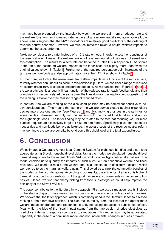may have been produced by the interplay between the welfare gain from a reduced rate and the welfare loss from an increased rate, in case of a revenue-neutral simulation. Overall, the above results suggest that the MWG indicators are relatively good predictors of the ordering of revenue-neutral schemes. However, we must estimate the revenue-neutral welfare impacts to determine the exact ordering.

Next, we consider a zero rate, instead of a 10% rate on food, in order to test the robustness of the results above. However, the welfare ranking of revenue-neutral policies was not sensitive to this assumption. The results for a zero rate can be found in Table [B.8](#page-32-0) in Appendix B. As shown in the table, the estimated welfare impacts in the latter case are slightly more than twice the original values shown in Table [4.](#page-18-0) Furthermore, the required percentage point increases of the tax rates on non-foods are also approximately twice the VAT hikes shown in Table [4.](#page-18-0)

Furthermore, we look at the revenue-neutral welfare impacts as a function of the reduced rate, to verify whether non-linearities occur in this relationship. Here, we consider a range of reduced rates from 0% to 19% by steps of one percentage point. As we can see from Figures [11](#page-43-0) and [12,](#page-44-0) the welfare impact is a roughly linear function of the reduced rate for each food bundle and their combinations, respectively. At the same time, the lines do not cross each-other, suggesting that the ranking is stable over the realistic range of reduced rates.

In contrast, the welfare ranking of the discussed policies may be somewhat sensitive to equity considerations. This means that some of the welfare curves plotted against expenditure deciles may cross one another (see Figures [13](#page-45-0) and [14\)](#page-46-0), implying changes in the rankings for some deciles. However, we only find this sensitivity for combined food bundles, and not for the eight single foods. The latter finding may be related to the fact that reducing VAT for more bundles requires an excessively large tax hike on non-foods. Specifically, given that foods are necessities and non-foods behave as luxuries, the welfare costs of the revenue-neutral reform may dominate the welfare benefits beyond some threshold level of the total expenditures.

### **6. CONCLUSION**

We estimated a Quadratic Almost Ideal Demand System for eight food bundles and a non-food aggregate using Slovak household-level data. Using the model, we simulated household-level demand responses to the recent Slovak VAT cut and its other hypothetical alternatives. The model enabled us to quantify the impacts of such a VAT cut on household welfare and fiscal revenues. We used the ratio of the welfare and fiscal effects as an efficiency indicator, which we referred to as the marginal welfare gain. This allowed us to rank the commodity bundles of the model, or their combinations. According to our results, the efficiency of a tax cut is higher if demand for a good is price-elastic or if the good has several complements in the consumption basket. Hence, we find that cherry-picking from food sub-categories could help improve the efficiency of the Slovak VAT cut.

The paper contributes to the literature in two aspects. First, we used simulation results, instead of the standard approximate measures, in constructing the efficiency indicator of tax reforms. We showed that the latter approach, which is commonly used in the literature, leads to a biased ranking of the alternative policies. The bias results mainly from the fact that the approximate welfare impact ignores demand responses, e.g. by not taking into account substitution effects. Meanwhile, the bias of the fiscal impact stems from the imprecision of price elasticities as predictors of demand responses compared to simulations. This imprecision may be aggravated, especially in the case of a non-linear model and non-incremental changes in prices or taxes.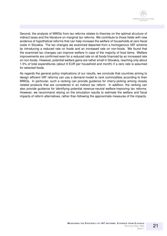Second, the analysis of MWGs from tax reforms relates to theories on the optimal structure of indirect taxes and the literature on marginal tax reforms. We contribute to those fields with new evidence of hypothetical reforms that can help increase the welfare of households at zero fiscal costs in Slovakia. The tax changes we examined departed from a homogenous VAT scheme by introducing a reduced rate on foods and an increased rate on non-foods. We found that the examined tax changes can improve welfare in case of the majority of food items. Welfare improvements are confirmed even for a reduced rate on all foods financed by an increased rate on non-foods. However, potential welfare gains are rather small in Slovakia, reaching only about 1.5% of total expenditures (about 9 EUR per household and month) if a zero rate is assumed for selected foods.

As regards the general policy implications of our results, we conclude that countries aiming to design efficient VAT reforms can use a demand model to rank commodities according to their MWGs. In particular, such a ranking can provide guidance for cherry-picking among closely related products that are considered in an indirect tax reform. In addition, the ranking can also provide guidance for identifying potential revenue-neutral welfare-improving tax reforms. However, we recommend relying on the simulation results to estimate the welfare and fiscal impacts of reform alternatives, rather than following the approximate measures of the impacts.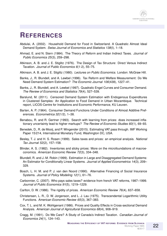### **REFERENCES**

- <span id="page-21-9"></span>Abdulai, A. (2002). Household Demand for Food in Switzerland. A Quadratic Almost Ideal Demand System. *Swiss Journal of Economics and Statistics 138*(I), 1–18.
- <span id="page-21-3"></span>Ahmad, E. and N. Stern (1984). The Theory of Reform and Indian Indirect Taxes. *Journal of Public Economics 25*(3), 259–298.
- <span id="page-21-0"></span>Atkinson, A. B. and J. E. Stiglitz (1976). The Design of Tax Structure: Direct Versus Indirect Taxation. *Journal of Public Economics 6*(1-2), 55–75.
- <span id="page-21-2"></span>Atkinson, A. B. and J. E. Stiglitz (1980). *Lectures on Public Economics*. London: McGraw Hill.
- <span id="page-21-6"></span>Banks, J., R. Blundell, and A. Lewbel (1996). Tax Reform and Welfare Measurement: Do We Need Demand System Estimation? *The Economic Journal 106*(438), 1227–41.
- <span id="page-21-4"></span>Banks, J., R. Blundell, and A. Lewbel (1997). Quadratic Engel Curves and Consumer Demand. *The Review of Economics and Statistics 79*(4), 527–539.
- <span id="page-21-12"></span>Barslund, M. (2011). Censored Demand System Estimation with Endogenous Expenditures in Clustered Samples: An Application to Food Demand in Urban Mozambique. Technical report, LICOS-Centre for Institutions and Economic Performance, KU Leuven.
- <span id="page-21-7"></span>Barten, A. P. (1964). Consumer Demand Functions Under Conditions of Almost Additive Preferences. *Econometrica 32*(1/2), 1–38.
- <span id="page-21-16"></span>Benabou, R. and R. Gertner (1993). Search with learning from prices: does increased inflationary uncertainty lead to higher markups? *The Review of Economic Studies 60*(1), 69–93.
- <span id="page-21-13"></span>Benedek, D., R. de Mooij, and P. Wingender (2015). Estimating VAT pass through. IMF Working Paper 15/214, International Monetary Fund, Washington DC, USA.
- <span id="page-21-14"></span>Besley, T. J. and H. S. Rosen (1999). Sales taxes and prices: an empirical analysis. *National Tax Journal 52*(2), 157–158.
- <span id="page-21-15"></span>Blinder, A. S. (1982). Inventories and sticky prices: More on the microfoundations of macroeconomics. *American Economic Review 72*(3), 334–348.
- <span id="page-21-11"></span>Blundell, R. and J.-M. Robin (1999). Estimation in Large and Disaggregated Demand Systems: An Estimator for Conditionally Linear Systems. *Journal of Applied Econometrics 14*(3), 209– 329.
- <span id="page-21-1"></span>Bosch, L. H. M. and P. J. van den Noord (1990). Alternative Financing of Social Insurance Systems. *Journal of Policy Modeling 12*(1), 61–76.
- <span id="page-21-18"></span>Carbonnier, C. (2007). Who pays sales taxes? evidence from french VAT reforms, 1987–1999. *Journal of Public Economics 91*(5), 1219–1229.
- <span id="page-21-17"></span>Carlton, D. W. (1986). The rigidity of prices. *American Economic Review 76*(4), 637–658.
- <span id="page-21-8"></span>Christensen, L. R., D. W. Jorgenson, and L. J. Lau (1975). Transcendental Logarithmic Utility Functions. *American Economic Review 65*(3), 367–383.
- <span id="page-21-10"></span>Cox, T. L. and M. K. Wohlgenant (1986). Prices and Quality Effects in Cross-sectional Demand Analysis. *American Journal of Agricultural Economics 68*(4), 908–919.
- <span id="page-21-5"></span>Cragg, M. (1991). Do We Care? A Study of Canada's Indirect Taxation. *Canadian Journal of Economics 24*(1), 124–143.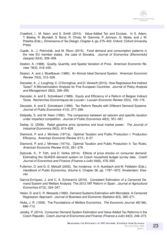- <span id="page-22-1"></span>Crawford, I., M. Keen, and S. Smith (2010). Value-Added Tax and Excises. In S. Adam, T. Besley, R. Blundell, S. Bond, R. Chote, M. Gammie, P. Johnson, G. Myles, and J. M. Poterba (Eds.), *Dimensions of Tax Design*, Chapter 4, pp. 275–422. Oxford: Oxford University Press.
- <span id="page-22-9"></span>Cupák, A., J. Pokrivčák, and M. Rizov (2015). Food demand and consumption patterns in the new EU member states: the case of Slovakia. *Journal of Economics (Ekonomicky´ casopis) 63 ˇ* (4), 339–358.
- <span id="page-22-10"></span>Deaton, A. (1988). Quality, Quantity, and Spatial Variation of Price. *American Economic Review 78*(3), 418–430.
- <span id="page-22-4"></span>Deaton, A. and J. Muellbauer (1980). An Almost Ideal Demand System. *American Economic Review 70*(3), 312–326.
- <span id="page-22-0"></span>Decoster, A., J. Loughrey, C. O'Donoghue, and D. Verwerft (2010). How Regressive Are Indirect Taxes? A Microsimulation Analysis for Five European Countries. *Journal of Policy Analysis and Management 29*(2), 326–350.
- <span id="page-22-5"></span>Decoster, A. and E. Schokkaert (1989). Equity and Efficiency of a Reform of Belgian Indirect Taxes. *Recherches Economiques de Louvain / Louvain Economic Review 55*(2), 155–176.
- <span id="page-22-6"></span>Decoster, A. and E. Schokkaert (1990). Tax Reform Results with Different Demand Systems. *Journal of Public Economics 41*(3), 277–296.
- <span id="page-22-15"></span>Delipalla, S. and M. Keen (1992). The comparison between ad valorem and specific taxation under imperfect competition. *Journal of Public Economics 49*(3), 351–367.
- <span id="page-22-16"></span>Deltas, G. (2008). Retail gasoline price dynamics and local market power. *The Journal of Industrial Economics 56*(3), 613–628.
- <span id="page-22-2"></span>Diamond, P. and J. Mirrlees (1971a). Optimal Taxation and Public Production I: Production Efficiency. *American Economic Review 61*(1), 8–27.
- <span id="page-22-3"></span>Diamond, P. and J. Mirrlees (1971b). Optimal Taxation and Public Production II: Tax Rules. *American Economic Review 61*(3), 261–278.
- <span id="page-22-11"></span>Dybczak, K., P. Tóth, and D. Voňka (2014). Effects of price shocks on consumer demand: Estimating the QUAIDS demand system on Czech household budget survey data. *Czech Journal of Economics and Finance (Finance a úvěr) 64(6), 476–500.*
- <span id="page-22-14"></span>Fullerton, D. and G. E. Metcalf (2002). Tax incidence. In A. Auerbach and M. Feldstein (Eds.), *Handbook of Public Economics*, Volume 4, Chapter 26, pp. 1787–1872. Amsterdam: Elsevier.
- <span id="page-22-13"></span>García-Enríquez, J. and C. A. Echevarría (2016). Consistent Estimation of a Censored Demand System and Welfare Analysis: The 2012 VAT Reform in Spain. *Journal of Agricultural Economics 67*(2), 324–347.
- <span id="page-22-12"></span>Heien, D. and C. R. Wesseils (1990). Demand Systems Estimation with Microdata: A Censored Regression Approach. *Journal of Business and Economic Statistics 8*(3), 365–371.
- <span id="page-22-8"></span>Hicks, J. R. (1939). The Foundations of Welfare Economics. *The Economic Journal 49*(196), 696–712.
- <span id="page-22-7"></span>Jansky, P. (2014). Consumer Demand System Estimation and Value Added Tax Reforms in the ´ Czech Republic. *Czech Journal of Economics and Finance (Finance a úvěr) 64*(3), 246–273.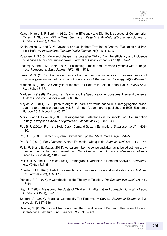- <span id="page-23-2"></span>Kaiser, H. and B. P. Spahn (1989). On the Efficiency and Distributive Justice of Consumption Taxes: A Study on VAT in West Germany. *Zeitschrift für Nationalökonomie / Journal of Economics 49*(2), 199–218.
- <span id="page-23-3"></span>Kaplanoglou, G. and D. M. Newbery (2003). Indirect Taxation in Greece: Evaluation and Possible Reform. *International Tax and Public Finance 10*(5), 511–533.
- <span id="page-23-17"></span>Kosonen, T. (2015). More and cheaper haircuts after VAT cut? on the efficiency and incidence of service sector consumption taxes. *Journal of Public Economics 131*(C), 87–100.
- <span id="page-23-8"></span>Lecocq, S. and J.-M. Robin (2015). Estimating Almost-Ideal Demand Systems with Endogenous Regressors. *Stata Journal 15*(2), 554–573.
- <span id="page-23-15"></span>Lewis, M. S. (2011). Asymmetric price adjustment and consumer search: an examination of the retail gasoline market. *Journal of Economics and Management Strategy 20*(2), 409–449.
- <span id="page-23-4"></span>Madden, D. (1995). An Analysis of Indirect Tax Reform in Ireland in the 1980s. *Fiscal Studies 16*(2), 18–37.
- <span id="page-23-5"></span>Madden, D. (1996). Marginal Tax Reform and the Specification of Consumer Demand Systems. *Oxford Economic Papers 48*(4), 556–567.
- <span id="page-23-16"></span>Meyler, A. (2014). VAT pass-through: Is there any value-added in a disaggregated crosscountry and cross-product analysis? Mimeo. A summary is published in ECB Economic Bulletin 2015, Issue 1, p. 45-47.
- <span id="page-23-7"></span>Moro, D. and P. Sckokai (2000). Heterogeneous Preferences in Household Food Consumption in Italy. *European Review of Agricultural Economics 27*(3), 305–323.
- <span id="page-23-9"></span>Poi, B. P. (2002). From the Help Desk: Demand System Estimation. *Stata Journal 2*(4), 403– 410.
- <span id="page-23-10"></span>Poi, B. P. (2008). Demand-system Estimation: Update. *Stata Journal 8*(4), 554–556.
- <span id="page-23-11"></span>Poi, B. P. (2012). Easy Demand-system Estimation with quaids. *Stata Journal 12*(3), 433–446.
- <span id="page-23-18"></span>Politi, R. B. and E. Mattos (2011). Ad-valorem tax incidence and after-tax price adjustments: evidence from brazilian basic basket food. *Canadian Journal of Economics/Revue canadienne d'économique 44* (4), 1438–1470.
- <span id="page-23-12"></span>Pollak, R. A. and T. J. Wales (1981). Demographic Variables in Demand Analysis. *Econometrica 49*(6), 1533–51.
- <span id="page-23-14"></span>Poterba, J. M. (1996). Retail price reactions to changes in state and local sales taxes. *National Tax Journal 49*(2), 165–176.
- <span id="page-23-0"></span>Ramsey, F. P. (1927). A Contribution to the Theory of Taxation. *The Economic Journal 37*(145), 47–61.
- <span id="page-23-13"></span>Ray, R. (1983). Measuring the Costs of Children: An Alternative Approach. *Journal of Public Economics 22*(1), 89–102.
- <span id="page-23-1"></span>Santoro, A. (2007). Marginal Commodity Tax Reforms: A Survey. *Journal of Economic Surveys 21*(4), 827–848.
- <span id="page-23-6"></span>Savage, M. (2016). Indirect Tax Teform and the Specification of Demand: The Case of Ireland. *International Tax and Public Finance 23*(2), 368–399.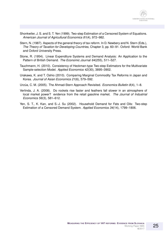- <span id="page-24-3"></span>Shonkwiler, J. S. and S. T. Yen (1999). Two-step Estimation of a Censored System of Equations. *American Journal of Agricultural Economics 81*(4), 972–982.
- <span id="page-24-6"></span>Stern, N. (1987). Aspects of the general theory of tax reform. In D. Newbery and N. Stern (Eds.), *The Theory of Taxation for Developing Countries*, Chapter 3, pp. 60–91. Oxford: World Bank and Oxford University Press.
- <span id="page-24-2"></span>Stone, R. (1954). Linear Expenditure Systems and Demand Analysis: An Application to the Pattern of British Demand. *The Economic Journal 64*(255), 511–527.
- <span id="page-24-4"></span>Tauchmann, H. (2010). Consistency of Heckman-type Two-step Estimators for the Multivariate Sample-selection Model. *Applied Economics 42*(30), 3895–3902.
- <span id="page-24-0"></span>Urakawa, K. and T. Oshio (2010). Comparing Marginal Commodity Tax Reforms in Japan and Korea. *Journal of Asian Economics 21*(6), 579–592.
- <span id="page-24-1"></span>Urzúa, C. M. (2005). The Ahmad-Stern Approach Revisited. *Economics Bulletin 8*(4), 1–8.
- <span id="page-24-7"></span>Verlinda, J. A. (2008). Do rockets rise faster and feathers fall slower in an atmosphere of local market power? evidence from the retail gasoline market. *The Journal of Industrial Economics 56*(3), 581–612.
- <span id="page-24-5"></span>Yen, S. T., K. Kan, and S.-J. Su (2002). Household Demand for Fats and Oils: Two-step Estimation of a Censored Demand System. *Applied Economics 34*(14), 1799–1806.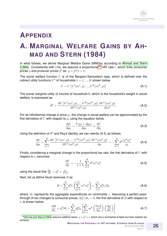

### **APPENDIX**

### **A. MARGINAL WELFARE GAINS BY AH-MAD AND STERN (1984)**

In what follows, we derive Marginal Welfare Gains (MWGs) according to [Ahmad and Stern](#page-21-3) [\(1984\)](#page-21-3). Consistently with (14), we assume a proportional<sup>[34](#page-25-0)</sup> VAT rate t, which links consumer prices  $p$  and producer prices  $p^0$  as:  $p = p^0(1+t).$ 

The social welfare function  $U$  is of the Bergson-Samuelson type, which is defined over the indirect utility functions  $V^h$  of households  $h = 1, ..., H$  shown below.

$$
U = U\left[V^{1}(m^{1}, p), ..., V^{H}(m^{H}, p)\right]
$$
\n(A.1)

The social marginal utility of income of household h, which is the household's weight in social welfare, is expressed as

$$
\theta^{h} = \frac{\partial U\left[V^{1}(m^{1},p),...,V^{H}(m^{H},p)\right]}{\partial V^{h}(m^{h},p)} \frac{\partial V^{h}(m^{h},p)}{\partial m^{h}}.
$$
\n(A.2)

For an infinitesimal change in price  $p_i$ , the change in social welfare can be approximated by the first derivative of  $U$  with respect to  $p_i$  using the equation below.

$$
\frac{\Delta U}{\Delta p_i} = \frac{U(p_i + \Delta p_i)}{\Delta p_i} \approx \frac{\partial U}{\partial p_i}
$$
 (A.3)

Using the definition of  $\theta^h$  and Roy's identity, we can rewrite (A.3) as follows.

$$
\frac{\partial U}{\partial p_i} = \sum_{h=1}^H \frac{\partial U\left[V^1(m^1, p), \dots, V^H(m^H, p)\right]}{\partial V^h(m^h, p)} \frac{\partial V^h\left(m^h, p\right)}{\partial p} = -\sum_{h=1}^H \theta^h \frac{m^h w_i^h}{p_i} \tag{A.4}
$$

Finally, considering a marginal change in the proportional tax rate, the first derivative of  $U$  with respect to  $t_i$  becomes

$$
\frac{\partial U}{\partial t_i} = -\frac{1}{1+t_i} \sum_{h=1}^H \theta^h m^h w_i^h,
$$
\n(A.5)

using the result that  $\frac{\partial p_i}{\partial t_i} = p_i^0 = \frac{p_i}{1+t}$  $\frac{p_i}{1+t_i}$ .

Next, let us define fiscal revenues  $R$  as

$$
R = \sum_{i=1}^{N} p_i^0 t_i \left( \sum_{h=1}^{H} m^h w_i^h \right) = \sum_{i=1}^{N} p_i^0 t_i M_i,
$$
 (A.6)

where  $M_i$  represents the aggregate expenditures on commodity i. Assuming a perfect passthrough of tax changes to consumer prices,  $\partial p_i^0/\partial t_i = 0,$  the first derivative of  $R$  with respect to  $t_i$  is shown below.

$$
\frac{\partial R}{\partial t_i} = p_i^0 M_i + \sum_{k=1}^N p_k^0 t_k \left[ \sum_{h=1}^H m^h \left( \frac{\partial w_k^h}{\partial p_i} \right) \left( \frac{\partial p_i}{\partial t_i} \right) \right]
$$
(A.7)

<span id="page-25-0"></span> $^{34}$ [Ahmad and Stern](#page-21-3) [\(1984\)](#page-21-3) assume additive taxes:  $p=p^0+t$ , which are a somewhat simpler but less realistic tax scheme.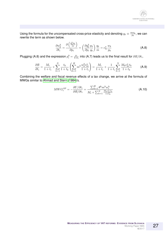Using the formula for the uncompensated cross-price elasticity and denoting  $q_k \equiv \frac{m w_k}{p_k}$  $\frac{nw_k}{p_k}$ , we can rewrite the term as shown below.

$$
\frac{\partial w_k^h}{\partial t_i} = \frac{\partial \left(\frac{q_k^h p_k}{m}\right)}{\partial p_i} = \left(\frac{\partial q_k^h}{\partial p_i} \frac{p_k}{q_k}\right) \frac{q_k}{m} = e_{ki}^u \frac{w_k}{p_k}
$$
(A.8)

Plugging (A.8) and the expression  $p_i^0 = \frac{p_i}{1+r_i}$  $\frac{p_i}{1+t_i}$  into (A.7) leads us to the final result for  $\partial R/\partial t_i.$ 

$$
\frac{\partial R}{\partial t_i} = \frac{M_i}{1+t_i} + \sum_{k=1}^N \frac{t_k}{1+t_k} \left( \sum_{h=1}^H m^h \frac{w_k^h e_{ki}^u}{1+t_i} \right) = \frac{M_i}{1+t_i} + \frac{1}{1+t_i} \sum_{k=1}^N \frac{M_k e_{ki}^u t_k}{1+t_k} \tag{A.9}
$$

Combining the welfare and fiscal revenue effects of a tax change, we arrive at the formula of MWGs similar to [Ahmad and Stern](#page-21-3) [\(1984\)](#page-21-3)'s.

$$
MWG_i^{AS} = -\frac{\partial U/\partial t_i}{\partial R/\partial t_i} = \frac{\sum_{h=1}^H \theta^h m^h w_i^h}{M_i + \sum_{k=1}^N \frac{M_k e_{ki}^u t_k}{1 + t_k}}
$$
(A.10)

27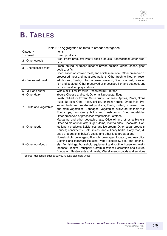# **B. TABLES**

| Category                  | <u>, gg</u> rogation or itomo to broador catogonou<br>Items                |
|---------------------------|----------------------------------------------------------------------------|
| $\overline{1}$ - Bread    | <b>Bread products</b>                                                      |
| 2 - Other cereals         | Rice; Pasta products; Pastry-cook products; Sandwiches; Other prod-        |
|                           | ucts                                                                       |
| 3 - Unprocessed meat      | Fresh, chilled, or frozen meat of bovine animals, swine, sheep, goat,      |
|                           | poultry, or fish                                                           |
|                           | Dried, salted or smoked meat, and edible meat offal; Other preserved or    |
|                           | processed meat and meat preparations; Other fresh, chilled, or frozen      |
| 4 - Processed meat        | edible meat; Fresh, chilled, or frozen seafood; Dried, smoked, or salted   |
|                           | fish and seafood; Other preserved or processed fish and seafood, and       |
|                           | fish and seafood preparations                                              |
| 5 - Milk and butter       | Whole milk; Low fat milk; Preserved milk; Butter                           |
| 6 - Other dairy           | Yogurt; Cheese and curd; Other milk products; Eggs                         |
|                           | Fresh, chilled, or frozen: Citrus fruits, Bananas, Apples, Pears, Stone    |
|                           | fruits, Berries; Other fresh, chilled, or frozen fruits; Dried fruit; Pre- |
| 7 - Fruits and vegetables | served fruits and fruit-based products; Fresh, chilled, or frozen: Leaf    |
|                           | and stem vegetables, Cabbages, Vegetables cultivated for their fruit,      |
|                           | Root crops, non-starchy bulbs and mushrooms; Dried vegetables;             |
|                           | Other preserved or processed vegetables; Potatoes                          |
|                           | Margarine and other vegetable fats; Olive oil and other edible oils;       |
|                           | Other edible animal fats; Sugar; Jams, marmalades; Chocolate; Con-         |
| 8 - Other foods           | fectionery products; Edible ices and ice cream; Other sugar products;      |
|                           | Sauces; condiments; Salt, spices, and culinary herbs; Baby food, di-       |
|                           | etary preparations, baker's yeast, and other food preparations             |
|                           | Non-alcoholic beverages; Alcoholic beverages, tobacco, and narcotics;      |
|                           | Clothing and footwear; Housing, water, electricity, gas, and other fu-     |
| 9 - Other non-foods       | els; Furnishings, household equipment and routine household main-          |
|                           | tenance; Health; Transport; Communication; Recreation and culture;         |
|                           | Education; Restaurants and hotels; Miscellaneous goods and services        |

#### Table B.1: Aggregation of items to broader categories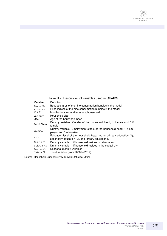

Table B.2: Description of variables used in QUAIDS

| Variable      | Definition                                                                                                                 |
|---------------|----------------------------------------------------------------------------------------------------------------------------|
| $w_1, , w_9$  | Budget shares of the nine consumption bundles in the model                                                                 |
| $P_1, , P_9$  | Price indices of the nine consumption bundles in the model                                                                 |
| EXP           | Monthly total expenditures of a household                                                                                  |
| $HH_{SIZE}$   | Household size                                                                                                             |
| AGE           | Age of the household head                                                                                                  |
| <b>GENDER</b> | Dummy variable: Gender of the household head; 1 if male and 0 if<br>female                                                 |
| EMPL          | Dummy variable: Employment status of the household head; 1 if em-<br>ployed and 0 otherwise                                |
| EDU           | Education level of the household head: no or primary education (1),<br>secondary education (2), and tertiary education (3) |
| <i>URBAN</i>  | Dummy variable: 1 if household resides in urban area                                                                       |
| CAPITAL       | Dummy variable: 1 if household resides in the capital city                                                                 |
| $Q_1, , Q_4$  | Seasonal dummy variables                                                                                                   |
| <i>TREND</i>  | Trend variable (from 2006 to 2012)                                                                                         |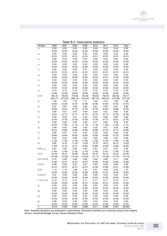|                    |          |          |          |          | rable D.S. Descriptive statistics |          |          |          |
|--------------------|----------|----------|----------|----------|-----------------------------------|----------|----------|----------|
| Variable           | 2006     | 2007     | 2008     | 2009     | 2010                              | 2011     | 2012     | Total    |
| $w_1$              | 0.03     | 0.03     | 0.03     | 0.03     | 0.03                              | 0.03     | 0.03     | 0.03     |
|                    | (0.02)   | (0.02)   | (0.02)   | (0.02)   | (0.02)                            | (0.02)   | (0.02)   | (0.02)   |
| $\boldsymbol{w}_2$ | 0.02     | 0.02     | 0.02     | 0.02     | 0.02                              | 0.02     | 0.02     | 0.02     |
|                    | (0.01)   | (0.01)   | (0.01)   | (0.01)   | (0.01)                            | (0.01)   | (0.01)   | (0.01)   |
| $w_3$              | 0.05     | 0.05     | 0.05     | 0.04     | 0.04                              | 0.04     | 0.04     | 0.05     |
|                    | (0.03)   | (0.03)   | (0.03)   | (0.03)   | (0.03)                            | (0.03)   | (0.03)   | (0.03)   |
|                    | 0.03     | 0.03     | 0.03     | 0.03     | 0.03                              | 0.03     | 0.03     | 0.03     |
| $w_4$              |          |          |          |          |                                   |          |          |          |
|                    | (0.02)   | (0.02)   | (0.02)   | (0.02)   | (0.02)                            | (0.02)   | (0.02)   | (0.02)   |
| $w_5$              | 0.02     | 0.02     | 0.02     | 0.01     | 0.02                              | 0.02     | 0.02     | 0.02     |
|                    | (0.01)   | (0.01)   | (0.01)   | (0.01)   | (0.01)                            | (0.01)   | (0.01)   | (0.01)   |
| $w_6$              | 0.03     | 0.03     | 0.03     | 0.03     | 0.03                              | 0.03     | 0.03     | 0.03     |
|                    | (0.02)   | (0.02)   | (0.02)   | (0.02)   | (0.02)                            | (0.01)   | (0.02)   | (0.02)   |
| $w_7$              | 0.04     | 0.04     | 0.04     | 0.03     | 0.04                              | 0.04     | 0.03     | 0.04     |
|                    | (0.02)   | (0.02)   | (0.02)   | (0.02)   | (0.02)                            | (0.02)   | (0.02)   | (0.02)   |
| $w_8$              | 0.04     | 0.04     | 0.04     | 0.04     | 0.04                              | 0.04     | 0.04     | 0.04     |
|                    | (0.02)   | (0.02)   | (0.02)   | (0.02)   | (0.02)                            | (0.02)   | (0.02)   | (0.02)   |
| $w_9$              | 0.74     | 0.74     | 0.74     | 0.75     | 0.75                              | 0.75     | 0.75     | 0.75     |
|                    | (0.09)   | (0.09)   | (0.09)   | (0.09)   | (0.09)                            | (0.09)   | (0.08)   | (0.09)   |
| <i>EXP</i>         | 706.18   | 726.05   | 775.65   | 753.36   | 766.63                            | 794.03   | 825.56   | 763.71   |
|                    | (363.77) | (373.53) | (386.19) | (370.20) | (381.54)                          | (382.51) | (373.89) | (377.94) |
| $P_1$              | 1.63     | 1.67     | 1.76     | 1.71     | 1.63                              | 1.67     | 1.66     | 1.68     |
|                    | (0.30)   | (0.33)   | (0.37)   | (0.38)   | (0.38)                            | (0.39)   | (0.42)   | (0.37)   |
| $P_{2}$            | 2.87     | 2.87     | 2.89     | 2.86     | 2.81                              | 2.85     | 2.87     | 2.86     |
|                    | (0.65)   | (0.67)   | (0.73)   | (0.75)   | (0.79)                            | (0.84)   | (0.86)   | (0.76)   |
|                    |          | 4.57     |          | 4.44     | 4.33                              | 4.51     |          | 4.54     |
| $P_3$              | 4.56     |          | 4.67     |          |                                   |          | 4.69     |          |
|                    | (0.81)   | (0.77)   | (0.77)   | (0.74)   | (0.73)                            | (0.77)   | (0.79)   | (0.78)   |
| $P_4$              | 5.55     | 5.50     | 5.51     | 5.46     | 5.32                              | 5.46     | 5.65     | 5.49     |
|                    | (0.76)   | (0.76)   | (0.76)   | (0.78)   | (0.76)                            | (0.77)   | (0.81)   | (0.78)   |
| $P_5$              | 2.59     | 2.60     | 2.55     | 2.39     | 2.47                              | 2.62     | 2.56     | 2.54     |
|                    | (0.97)   | (1.05)   | (1.12)   | (1.10)   | (1.19)                            | (1.29)   | (1.23)   | (1.14)   |
| $P_6$              | 4.49     | 4.52     | 4.64     | 4.36     | 4.35                              | 4.51     | 4.59     | 4.49     |
|                    | (0.61)   | (0.66)   | (0.68)   | (0.65)   | (0.68)                            | (0.74)   | (0.71)   | (0.68)   |
| $P_7$              | 2.55     | 2.57     | 2.57     | 2.44     | 2.49                              | 2.55     | 2.58     | 2.53     |
|                    | (0.64)   | (0.64)   | (0.65)   | (0.63)   | (0.59)                            | (0.69)   | (0.72)   | (0.65)   |
| $P_8$              | 5.04     | 5.02     | 4.85     | 5.00     | 4.92                              | 4.88     | 4.97     | 4.95     |
|                    | (1.32)   | (1.42)   | (1.42)   | (1.56)   | (1.52)                            | (1.50)   | (1.56)   | (1.48)   |
| $P_9$              | 6.65     | 8.18     | 11.25    | 13.32    | 13.72                             | 18.21    | 22.14    | 13.29    |
|                    | (1.84)   | (2.10)   | (2.71)   | (3.60)   | (3.66)                            | (4.59)   | (4.56)   | (6.00)   |
| $HH_{SIZE}$        | 2.91     | 2.85     | 2.85     | 2.90     | 2.91                              | 2.91     | 2.97     | 2.90     |
|                    | (1.40)   | (1.40)   | (1.43)   | (1.43)   | (1.40)                            | (1.41)   | (1.42)   | (1.42)   |
| AGE                | 54.43    | 53.41    | 52.86    | 52.42    | 53.37                             | 53.74    | 53.34    | 53.35    |
|                    | (14.26)  | (14.29)  | (14.44)  | (14.04)  | (14.17)                           | (14.29)  | (13.75)  | (14.19)  |
| <b>GENDER</b>      | 0.70     | 0.68     | 0.68     | 0.68     | 0.69                              | 0.68     | 0.71     | 0.69     |
|                    | (0.46)   | (0.47)   | (0.47)   | (0.47)   | (0.46)                            | (0.46)   | (0.46)   | (0.46)   |
| EMPL               | 0.66     | 0.66     | 0.67     | 0.67     | 0.60                              | 0.62     | 0.66     | 0.65     |
|                    |          |          |          |          |                                   |          |          |          |
|                    | (0.47)   | (0.47)   | (0.47)   | (0.47)   | (0.49)                            | (0.48)   | (0.47)   | (0.48)   |
| EDU                | 1.13     | 1.13     | 1.89     | 1.91     | 2.01                              | 2.05     | 2.06     | 1.74     |
|                    | (0.33)   | (0.33)   | (0.32)   | (0.29)   | (0.46)                            | (0.47)   | (0.45)   | (0.55)   |
| URBAN              | 0.61     | 0.59     | 0.60     | 0.58     | 0.55                              | 0.55     | 0.53     | 0.57     |
|                    | (0.49)   | (0.49)   | (0.49)   | (0.49)   | (0.50)                            | (0.50)   | (0.50)   | (0.49)   |
| $\it{CAPITAL}$     | 0.13     | 0.12     | 0.12     | 0.11     | 0.11                              | 0.11     | 0.10     | 0.11     |
|                    | (0.33)   | (0.33)   | (0.32)   | (0.31)   | (0.32)                            | (0.31)   | (0.30)   | (0.32)   |
| $Q_1$              | 0.24     | 0.24     | 0.24     | 0.26     | 0.24                              | 0.25     | 0.27     | 0.25     |
|                    | (0.43)   | (0.43)   | (0.43)   | (0.44)   | (0.43)                            | (0.44)   | (0.44)   | (0.43)   |
| $\scriptstyle Q_2$ | 0.26     | 0.25     | 0.25     | 0.25     | 0.26                              | 0.25     | 0.25     | 0.25     |
|                    | (0.44)   | (0.44)   | (0.44)   | (0.44)   | (0.44)                            | (0.43)   | (0.43)   | (0.44)   |
| $Q_3$              | 0.25     | 0.25     | 0.25     | 0.24     | 0.25                              | 0.25     | 0.24     | 0.25     |
|                    | (0.43)   | (0.43)   | (0.43)   | (0.43)   | (0.43)                            | (0.43)   | (0.43)   | (0.43)   |
| $Q_4$              | 0.26     | 0.25     | 0.25     | 0.25     | 0.24                              | 0.24     | 0.24     | 0.25     |
|                    | (0.44)   | (0.44)   | (0.43)   | (0.43)   | (0.43)                            | (0.43)   | (0.43)   | (0.43)   |
| $\overline{N}$     | 3,675    | 4,003    | 4,061    | 3,988    | 5,211                             | 3,888    | 3,534    | 28,360   |
|                    |          |          |          |          |                                   |          |          |          |

#### Table B.3: Descriptive statistics

Note: Standard deviations are presented in parentheses. Descriptive statistics are computed using survey weights. Source: Household Budget Survey, Slovak Statistical Office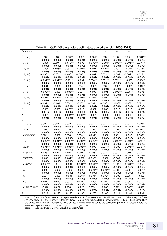| Parameter                                                                                                                                                                                                                   | $w_1$       | $\boldsymbol{w}_2$ | $\boldsymbol{w}_3$ | $w_4$       | $\boldsymbol{w_5}$ | $\,w_6$     | $w_7$       | $\boldsymbol{w_8}$ | $\mathfrak{w}_9$ |
|-----------------------------------------------------------------------------------------------------------------------------------------------------------------------------------------------------------------------------|-------------|--------------------|--------------------|-------------|--------------------|-------------|-------------|--------------------|------------------|
| $\gamma$                                                                                                                                                                                                                    |             |                    |                    |             |                    |             |             |                    |                  |
| $P_1$ (ln)                                                                                                                                                                                                                  | $0.013***$  | $0.003***$         | $-0.002*$          | $-0.001$    | $-0.001*$          | $0.008***$  | $0.008***$  | $0.006***$         | $-0.034***$      |
|                                                                                                                                                                                                                             | (0.000)     | (0.000)            | (0.001)            | (0.001)     | (0.000)            | (0.000)     | (0.001)     | (0.001)            | (0.003)          |
| $P_2$ (ln)                                                                                                                                                                                                                  | $-0.000$    | $0.009***$         | $-0.012***$        | 0.000       | $-0.002***$        | $-0.001*$   | $-0.003***$ | $-0.008***$        | $0.016***$       |
|                                                                                                                                                                                                                             | (0.000)     | (0.000)            | (0.001)            | (0.000)     | (0.000)            | (0.000)     | (0.001)     | (0.000)            | (0.002)          |
| $P_3$ (ln)                                                                                                                                                                                                                  | $-0.000$    | $0.003**$          | $0.031***$         | $-0.004***$ | 0.001              | $0.002**$   | $0.003*$    | 0.001              | $-0.038***$      |
|                                                                                                                                                                                                                             | (0.001)     | (0.001)            | (0.001)            | (0.001)     | (0.001)            | (0.001)     | (0.001)     | (0.001)            | (0.007)          |
| $P_4$ (ln)                                                                                                                                                                                                                  | $-0.005***$ | $-0.002**$         | $-0.005***$        | $-0.006***$ | 0.001              | $0.003***$  | 0.002       | $-0.004***$        | $0.018**$        |
|                                                                                                                                                                                                                             | (0.001)     | (0.001)            | (0.001)            | (0.001)     | (0.001)            | (0.001)     | (0.001)     | (0.001)            | (0.006)          |
| $P_5$ (ln)                                                                                                                                                                                                                  | $-0.001***$ | $-0.001***$        | $-0.001**$         | 0.001       | $0.004***$         | $0.001***$  | $0.002***$  | $-0.000$           | $-0.004**$       |
|                                                                                                                                                                                                                             | (0.000)     | (0.000)            | (0.000)            | (0.000)     | (0.000)            | (0.000)     | (0.000)     | (0.000)            | (0.001)          |
| $P_6$ (ln)                                                                                                                                                                                                                  | 0.001       | $-0.000$           | 0.002              | $0.005***$  | $-0.001$           | $0.006***$  | $-0.001$    | $-0.001$           | $-0.012**$       |
|                                                                                                                                                                                                                             | (0.001)     | (0.001)            | (0.001)            | (0.001)     | (0.001)            | (0.001)     | (0.001)     | (0.001)            | (0.004)          |
| $P_7$ (ln)                                                                                                                                                                                                                  | $-0.002***$ | $-0.000$           | $-0.008***$        | $0.001*$    | 0.000              | 0.001       | $-0.003***$ | $0.005***$         | 0.006            |
|                                                                                                                                                                                                                             | (0.001)     | (0.000)            | (0.001)            | (0.001)     | (0.000)            | (0.000)     | (0.001)     | (0.001)            | (0.003)          |
| $P_8$ (ln)                                                                                                                                                                                                                  | $-0.003***$ | $-0.004***$        | $-0.014***$        | $-0.003***$ | $-0.002***$        | 0.000       | $-0.000$    | $0.003***$         | $0.023***$       |
|                                                                                                                                                                                                                             | (0.001)     | (0.000)            | (0.001)            | (0.000)     | (0.000)            | (0.000)     | (0.001)     | (0.001)            | (0.003)          |
| $P_9$ (ln)                                                                                                                                                                                                                  | $-0.009***$ | $-0.002*$          | $0.004***$         | $-0.003**$  | $-0.004***$        | $-0.005***$ | $-0.002$    | $-0.002**$         | $0.022***$       |
|                                                                                                                                                                                                                             | (0.001)     | (0.001)            | (0.001)            | (0.001)     | (0.001)            | (0.001)     | (0.001)     | (0.001)            | (0.006)          |
| β                                                                                                                                                                                                                           | $-0.007$    | $-0.003$           | $0.026**$          | 0.013       | $-0.002$           | 0.003       | 0.012       | 0.012              | $-0.053$         |
|                                                                                                                                                                                                                             | (0.013)     | (0.010)            | (0.009)            | (0.007)     | (0.011)            | (0.008)     | (0.011)     | (0.008)            | (0.074)          |
| $\lambda$                                                                                                                                                                                                                   | $-0.001$    | $-0.000$           | $-0.004***$        | $-0.003***$ | $-0.001$           | $-0.002$    | $-0.002$    | $-0.002**$         | 0.015            |
|                                                                                                                                                                                                                             | (0.001)     | (0.001)            | (0.001)            | (0.001)     | (0.001)            | (0.001)     | (0.001)     | (0.001)            | (0.008)          |
| $\alpha$                                                                                                                                                                                                                    |             |                    |                    |             |                    |             |             |                    |                  |
| $HH_{SIZE}$                                                                                                                                                                                                                 | $0.006***$  | $0.002***$         | $0.002***$         | $0.003***$  | $0.003***$         | $0.003***$  | $0.001***$  | $0.003***$         | $-0.023***$      |
|                                                                                                                                                                                                                             | (0.000)     | (0.000)            | (0.000)            | (0.000)     | (0.000)            | (0.000)     | (0.000)     | (0.000)            | (0.001)          |
| AGE                                                                                                                                                                                                                         | $0.000***$  | 0.000              | $0.000***$         | $0.000***$  | $0.000***$         | $0.000***$  | $0.000***$  | $0.000***$         | $-0.001***$      |
|                                                                                                                                                                                                                             | (0.000)     | (0.000)            | (0.000)            | (0.000)     | (0.000)            | (0.000)     | (0.000)     | (0.000)            | (0.000)          |
| <b>GENDER</b>                                                                                                                                                                                                               | $0.002***$  | $-0.000$           | $0.003***$         | $0.004***$  | $0.001**$          | $-0.000$    | $-0.001**$  | 0.000              | $-0.009***$      |
|                                                                                                                                                                                                                             | (0.000)     | (0.000)            | (0.000)            | (0.000)     | (0.000)            | (0.000)     | (0.000)     | (0.000)            | (0.002)          |
| EMPL                                                                                                                                                                                                                        | $-0.002***$ | $-0.001***$        | $-0.003***$        | $-0.001***$ | $-0.002***$        | $-0.000$    | $-0.003***$ | $-0.004***$        | $0.016***$       |
|                                                                                                                                                                                                                             | (0.000)     | (0.000)            | (0.001)            | (0.000)     | (0.000)            | (0.000)     | (0.000)     | (0.000)            | (0.002)          |
| EDU                                                                                                                                                                                                                         | $-0.001***$ | $-0.001***$        | $-0.006***$        | $-0.003***$ | 0.000              | $0.001***$  | 0.000       | $-0.003***$        | $0.012***$       |
|                                                                                                                                                                                                                             | (0.000)     | (0.000)            | (0.000)            | (0.000)     | (0.000)            | (0.000)     | (0.000)     | (0.000)            | (0.001)          |
| <b>URBAN</b>                                                                                                                                                                                                                | -0.005***   | $-0.002***$        | $-0.004***$        | $-0.004***$ | $-0.003***$        | $0.002***$  | $0.007***$  | $-0.005***$        | $0.014***$       |
|                                                                                                                                                                                                                             | (0.000)     | (0.000)            | (0.000)            | (0.000)     | (0.000)            | (0.000)     | (0.000)     | (0.000)            | (0.001)          |
| TREND                                                                                                                                                                                                                       | 0.000       | 0.000              | $-0.001***$        | $-0.000$    | $-0.000***$        | $-0.000$    | $-0.000*$   | $-0.000**$         | $0.002*$         |
|                                                                                                                                                                                                                             | (0.000)     | (0.000)            | (0.000)            | (0.000)     | (0.000)            | (0.000)     | (0.000)     | (0.000)            | (0.001)          |
| $\ensuremath{\mathcal{C}}\xspace\ensuremath{\mathcal{A}}\xspace\ensuremath{\mathcal{P}}\xspace\ensuremath{\mathcal{I}}\xspace\ensuremath{\mathcal{T}}\xspace\ensuremath{\mathcal{A}}\xspace\ensuremath{\mathcal{L}}\xspace$ | $-0.002***$ | $0.001***$         | 0.001              | $-0.004***$ | $-0.001***$        | $0.002***$  | $0.002***$  | $-0.004***$        | $0.004*$         |
|                                                                                                                                                                                                                             | (0.000)     | (0.000)            | (0.001)            | (0.000)     | (0.000)            | (0.000)     | (0.000)     | (0.000)            | (0.002)          |
| $Q_2$                                                                                                                                                                                                                       | 0.000       | $-0.000$           | $-0.000$           | 0.000       | $-0.001***$        | $-0.001***$ | $0.003***$  | $0.003***$         | $-0.004**$       |
|                                                                                                                                                                                                                             | (0.000)     | (0.000)            | (0.000)            | (0.000)     | (0.000)            | (0.000)     | (0.000)     | (0.000)            | (0.001)          |
| $\scriptstyle Q_3$                                                                                                                                                                                                          | $0.001*$    | $-0.000$           | 0.001              | $-0.001*$   | $-0.001***$        | $-0.002***$ | 0.000       | $0.005***$         | $-0.002$         |
|                                                                                                                                                                                                                             | (0.000)     | (0.000)            | (0.000)            | (0.000)     | (0.000)            | (0.000)     | (0.000)     | (0.000)            | (0.002)          |
| $Q_4$                                                                                                                                                                                                                       | $0.001**$   | 0.000              | $0.004***$         | $0.001**$   | $-0.000$           | $-0.002***$ | 0.001       | $0.005***$         | $-0.010***$      |
|                                                                                                                                                                                                                             | (0.000)     | (0.000)            | (0.001)            | (0.000)     | (0.000)            | (0.000)     | (0.000)     | (0.000)            | (0.002)          |
| CONSTANT                                                                                                                                                                                                                    | $-0.410$    | 0.021              | 1.966***           | 0.220       | $0.933***$         | 0.205       | $0.699*$    | $0.843**$          | $-3.477$         |
|                                                                                                                                                                                                                             | (0.335)     | (0.257)            | (0.403)            | (0.275)     | (0.279)            | (0.251)     | (0.354)     | (0.300)            | (1.920)          |
| $\overline{R^2}$                                                                                                                                                                                                            | 0.312       | 0.160              | 0.160              | 0.130       | 0.173              | 0.145       | 0.111       | 0.181              | 0.291            |

Table B.4: QUAIDS parameters estimates, pooled sample (2006-2012)

Note: 1 - Bread, 2 - Other cereals, 3 - Unprocessed meat, 4 - Processed meat, 5 - Milk and butter, 6 - Other dairy, 7 - Fruits and vegetables, 8 - Other foods, 9 - Other non-foods. Sample size includes 28,360 observations. Outliers (1%) in expenditure and prices were trimmed. Variable  $Q_1$  was omitted from regressions due to the collinearity problem. Standard errors are presented in parentheses.  $* p < 0.10$ ,  $* p < 0.05$ ,  $* * * p < 0.01$ .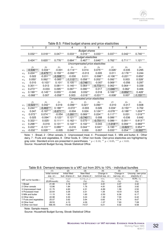|       |                                  | 2           | 3           | 4           | 5                              | 6           | $\overline{7}$ | 8           | $\overline{9}$ |  |
|-------|----------------------------------|-------------|-------------|-------------|--------------------------------|-------------|----------------|-------------|----------------|--|
|       |                                  |             |             |             | <b>Budget shares</b>           |             |                |             |                |  |
|       | $0.032***$                       | $0.018***$  | $0.047***$  | $0.033***$  | $0.016***$                     | $0.033***$  | $0.037***$     | $0.042***$  | $0.740***$     |  |
|       | <b>Budget elasticities</b>       |             |             |             |                                |             |                |             |                |  |
|       | $0.424***$                       | $0.620***$  | $0.776***$  | $0.664***$  | $0.467***$                     | $0.640***$  | $0.762***$     | $0.711***$  | $1.121***$     |  |
|       | Uncompensated price elasticities |             |             |             |                                |             |                |             |                |  |
|       | $p_1$                            | $p_2$       | $p_3$       | $p_4$       | $p_5$                          | $p_6$       | p <sub>7</sub> | $p_8$       | $p_9$          |  |
| $w_1$ | $-0.536***$                      | $0.034**$   | $-0.001$    | $-0.114***$ | 0.014                          | $0.075***$  | $-0.026*$      | $-0.035$    | 0.295          |  |
| $w_2$ | $0.224***$                       | $-0.475***$ | $0.159***$  | $-0.093***$ | $-0.013$                       | 0.005       | 0.011          | $-0.176***$ | 0.244          |  |
| $w_3$ | 0.022                            | $-0.201***$ | $-0.308***$ | $-0.030$    | 0.011                          | $0.098**$   | $-0.106***$    | $-0.221***$ | $0.650*$       |  |
| $w_4$ | $0.050*$                         | $0.062***$  | $-0.085***$ | $-1.113***$ | $0.058***$                     | $0.202***$  | $0.092***$     | 0.003       | $0.528*$       |  |
| $w_5$ | 0.010                            | $-0.103**$  | $0.101*$    | $0.105***$  | $-0.748***$                    | $-0.007$    | $0.069***$     | $-0.056$    | 0.297          |  |
| $w_6$ | $0.301***$                       | 0.013       | $0.081***$  | $0.140***$  | $0.064***$                     | $-0.772***$ | $0.062***$     | $0.064***$  | 0.339          |  |
| $w_7$ | $0.273***$                       | $-0.033$    | $0.095***$  | $0.097***$  | $0.090***$                     | 0.017       | $-1.046***$    | $0.062*$    | 0.406          |  |
| $w_8$ | $0.199***$                       | $-0.145***$ | $0.055***$  | $-0.040$    | $0.032**$                      | 0.018       | $0.169***$     | $-0.852***$ | $0.428*$       |  |
| $w_9$ | $-0.068***$                      | 0.007       | $-0.058***$ | 0.003       | $-0.018***$                    | $-0.031***$ | $-0.008*$      | 0.007       | $-1.151***$    |  |
|       |                                  |             |             |             | Compensated price elasticities |             |                |             |                |  |
|       | $p_1$                            | $p_2$       | $p_3$       | $p_4$       | $p_5$                          | $p_6$       | p <sub>7</sub> | $p_8$       | $p_9$          |  |
| $w_1$ | $-0.523***$                      | $0.042**$   | 0.019       | $-0.099***$ | $0.021*$                       | $0.090***$  | $-0.010$       | $-0.017$    | 0.608          |  |
| $w_2$ | $0.244***$                       | $-0.463***$ | $0.188***$  | $-0.072**$  | $-0.003$                       | 0.026       | $0.034*$       | $-0.150***$ | 0.702          |  |
| $w_3$ | 0.047                            | $-0.187***$ | $-0.271***$ | $-0.004$    | 0.024                          | $0.124***$  | $-0.078***$    | $-0.188***$ | $1.224***$     |  |
| $w_4$ | $0.072**$                        | $0.074***$  | $-0.054$    | $-1.091***$ | $0.069***$                     | $0.224***$  | $0.117***$     | 0.031       | $1.019***$     |  |
| $w_5$ | 0.025                            | $-0.094**$  | $0.123**$   | $0.121***$  | $-0.740***$                    | 0.008       | $0.086***$     | $-0.036$    | 0.642          |  |
| $w_6$ | $0.322***$                       | $0.025*$    | $0.111***$  | $0.162***$  | $0.075***$                     | $-0.751***$ | $0.086***$     | $0.091***$  | $0.813***$     |  |
| $w_7$ | $0.298***$                       | $-0.019$    | $0.131***$  | $0.122***$  | $0.102***$                     | 0.043       | $-1.018***$    | $0.094***$  | $0.969***$     |  |
| $w_8$ | $0.222***$                       | $-0.131***$ | $0.089***$  | $-0.016$    | $0.044***$                     | $0.041*$    | $0.195***$     | $-0.823***$ | $0.954***$     |  |
| $w_9$ | $-0.032***$                      | $0.028***$  | $-0.005$    | $0.040***$  | 0.000                          | 0.007       | $0.033***$     | $0.054***$  | $-0.322***$    |  |

<span id="page-31-0"></span>Table B.5: Fitted budget shares and price elasticities

Note: 1 - Bread, 2 - Other cereals, 3 - Unprocessed meat, 4 - Processed meat, 5 - Milk and butter, 6 - Other dairy, 7 - Fruits and vegetables, 8 - Other foods, 9 - Other non-foods. Own-price elasticities are highlighted by gray color. Standard errors are presented in parentheses.  $p < 0.10$ ,  $^{**} p < 0.05$ ,  $^{***} p < 0.01$ . Source: Household Budget Survey, Slovak Statistical Office

|                          | (1)             | (2)                | (3)                     | (4)               | (5)              | (6)                  |
|--------------------------|-----------------|--------------------|-------------------------|-------------------|------------------|----------------------|
|                          | Initial nominal | Initial fitted     | New fitted              | Change in         | Change in        | Uncomp. own-price    |
|                          | exp. on $i$     | bud. shares of $i$ | bud. shares of $i$      | nominal exp. on i | real exp. on $i$ | elasticity of $i$    |
| VAT cut for bundle $i$ : | $mw_i$          | $w_i(p)$           | $w_i(\tau p_i, p_{-i})$ | $mw_i$            | $mw_i/\tau p_i$  | $8.3\%$ . $e_{ii}^u$ |
|                          | (EUR/month)     | $(\% )$            | (%)                     | $(\% )$           | $(\% )$          | $(\% )$              |
| Bread                    | 21.90           | 3.19               | 3.07                    | $-4.61$           | 4.07             | 4.42                 |
| 2 Other cereals          | 12.86           | 1.84               | 1.76                    | $-4.81$           | 3.85             | 3.92                 |
| 3 Unprocessed meat       | 31.70           | 4.60               | 4.31                    | $-6.89$           | 1.58             | 2.50                 |
| 4 Processed meat         | 22.64           | 3.26               | 3.31                    | 1.39              | 10.61            | 9.25                 |
| 5 Milk and butter        | 11.15           | 1.63               | 1.60                    | $-2.50$           | 6.36             | 6.17                 |
| 6 Other dairy            | 22.98           | 3.30               | 3.24                    | $-1.92$           | 7.00             | 6.42                 |
| 7 Fruits and vegetables  | 25.07           | 3.62               | 3.64                    | 0.60              | 9.74             | 8.67                 |
| 8 Other food             | 28.53           | 4.13               | 4.09                    | $-1.07$           | 7.93             | 7.08                 |
| 9 Other non-food         | 566.45          | 74.42              | 74.57                   | 0.21              | 9.32             | 9.58                 |

<span id="page-31-1"></span>Table B.6: Demand responses to a VAT cut from 20% to 10% - individual bundles

Note: Sample means.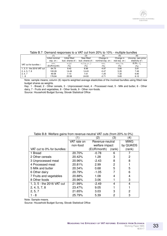|                            |                 | (2)                | (3)                     | (4)                 | (5)              | (6)               |
|----------------------------|-----------------|--------------------|-------------------------|---------------------|------------------|-------------------|
|                            | Initial nominal | Initial fitted     | New fitted              | Change in           | Change in        | Uncomp. own-price |
|                            | exp. on $i$     | bud. shares of $i$ | bud. shares of i        | nominal exp. on $i$ | real exp. on $i$ | elasticity of $i$ |
| VAT cut for bundles $i$ :  | $mw_i$          | $w_i(p)$           | $w_i(\tau p_i, p_{-i})$ | $mw_i$              | $mw_i/\tau p_i$  | 8.3%. $e_{ii}^u$  |
|                            | (EUR/month)     | $(\% )$            | $(\% )$                 | (% )                | (% )             | $(\% )$           |
| 1, 3, 5 - the 2016 VAT cut | 64.75           | 9.42               | 8.99                    | -4.97               | 3.80             | 3.81              |
| 2, 4, 5, 7, 8              | 100.26          | 14.49              | 14.43                   | $-0.47$             | 5.35             | 7.49              |
| 2, 5, 7                    | 49.08           | 7.10               | 7.01                    | $-1.25$             | 7.32             | 6.90              |
| $1 - 8$                    | 176.84          | 25.58              | 24.93                   | $-2.71$             | 5.65             | 6.12              |

#### Table B.7: Demand responses to a VAT cut from 20% to 10% - multiple bundles

Note: sample means; column (6) reports weighted average elasticities of the involved bundles using fitted new budget shares as weights.

Key: 1 - Bread, 2 - Other cereals, 3 - Unprocessed meat, 4 - Processed meat, 5 - Milk and butter, 6 - Other dairy, 7 - Fruits and vegetables, 8 - Other foods, 9 - Other non-foods.

Source: Household Budget Survey, Slovak Statistical Office

| <u>RONG D.O. WOMANG GAMIS MONTHOWGHOU HOUNGH WANT CAND (MONTHEO 70 NOTO)</u> |             | (2)             | (3)    | (4)        |
|------------------------------------------------------------------------------|-------------|-----------------|--------|------------|
|                                                                              | VAT rate on | Revenue-neutral |        | <b>MWG</b> |
|                                                                              | non-food    | welfare impact  |        | by QUAIDS  |
| VAT cut to 0% for bundles:                                                   |             | (EUR/month)     | (rank) | (rank)     |
| 1 Bread                                                                      | 20.70%      | $-0.78$         | 6      |            |
| 2 Other cereals                                                              | 20.42%      | 1.28            | 3      | 2          |
| 3 Unprocessed meat                                                           | 20.96%      | $-2.43$         | 8      | 8          |
| 4 Processed meat                                                             | 20.81%      | 2.99            | 2      |            |
| 5 Milk and butter                                                            | 20.34%      | 0.68            | 5      | 5          |
| 6 Other dairy                                                                | 20.79%      | $-1.05$         |        | 6          |
| 7 Fruits and vegetables                                                      | 20.88%      | 1.08            | 4      | 4          |
| 8 Other foods                                                                | 20.96%      | 3.06            |        | 3          |
| 1, 3, 5 - the 2016 VAT cut                                                   | 21.99%      | $-2.49$         | 4      | 4          |
| 2, 4, 5, 7, 8                                                                | 23.47%      | 9.05            |        |            |
| 2, 5, 7                                                                      | 21.65%      | 3.03            | 3      | 2          |
| 1 - 8                                                                        | 25.79%      | 5.39            | 2      | 3          |

<span id="page-32-0"></span>Table B.8: Welfare gains from revenue-neutral VAT cuts (from 20% to 0%)

Note: Sample means.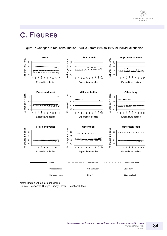

### **C. FIGURES**

<span id="page-33-0"></span>Figure 1: Changes in real consumption - VAT cut from 20% to 10% for individual bundles



Note: Median values for each decile.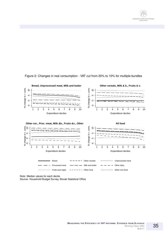



<span id="page-34-0"></span>Figure 2: Changes in real consumption - VAT cut from 20% to 10% for multiple bundles

Note: Median values for each decile.

Source: Household Budget Survey, Slovak Statistical Office

35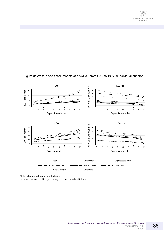



#### <span id="page-35-0"></span>Figure 3: Welfare and fiscal impacts of a VAT cut from 20% to 10% for individual bundles

Note: Median values for each decile.

Source: Household Budget Survey, Slovak Statistical Office

36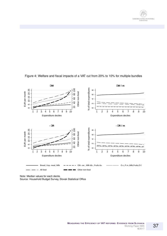



<span id="page-36-0"></span>Figure 4: Welfare and fiscal impacts of a VAT cut from 20% to 10% for multiple bundles

Note: Median values for each decile.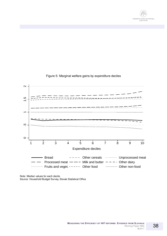



<span id="page-37-0"></span>Figure 5: Marginal welfare gains by expenditure deciles

Note: Median values for each decile.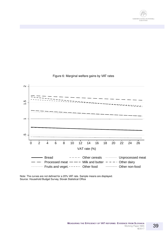



<span id="page-38-0"></span>Figure 6: Marginal welfare gains by VAT rates

Note: The curves are not defined for a 20% VAT rate. Sample means are displayed. Source: Household Budget Survey, Slovak Statistical Office

39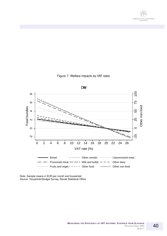



<span id="page-39-0"></span>Figure 7: Welfare impacts by VAT rates

Note: Sample means in EUR per month and household. Source: Household Budget Survey, Slovak Statistical Office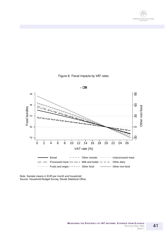



<span id="page-40-0"></span>Figure 8: Fiscal impacts by VAT rates

Note: Sample means in EUR per month and household. Source: Household Budget Survey, Slovak Statistical Office

41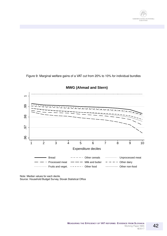

<span id="page-41-0"></span>Figure 9: Marginal welfare gains of a VAT cut from 20% to 10% for individual bundles



#### **MWG (Ahmad and Stern)**

Note: Median values for each decile.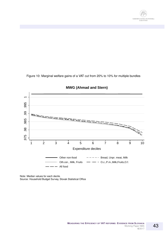

<span id="page-42-0"></span>Figure 10: Marginal welfare gains of a VAT cut from 20% to 10% for multiple bundles



#### **MWG (Ahmad and Stern)**

Note: Median values for each decile.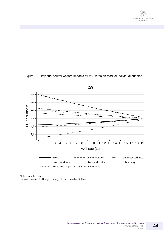

<span id="page-43-0"></span>



Note: Sample means. Source: Household Budget Survey, Slovak Statistical Office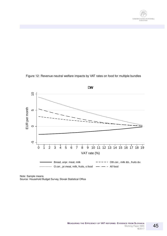

<span id="page-44-0"></span>



Note: Sample means. Source: Household Budget Survey, Slovak Statistical Office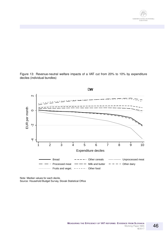

<span id="page-45-0"></span>Figure 13: Revenue-neutral welfare impacts of a VAT cut from 20% to 10% by expenditure deciles (individual bundles)



Note: Median values for each decile.

Source: Household Budget Survey, Slovak Statistical Office

46